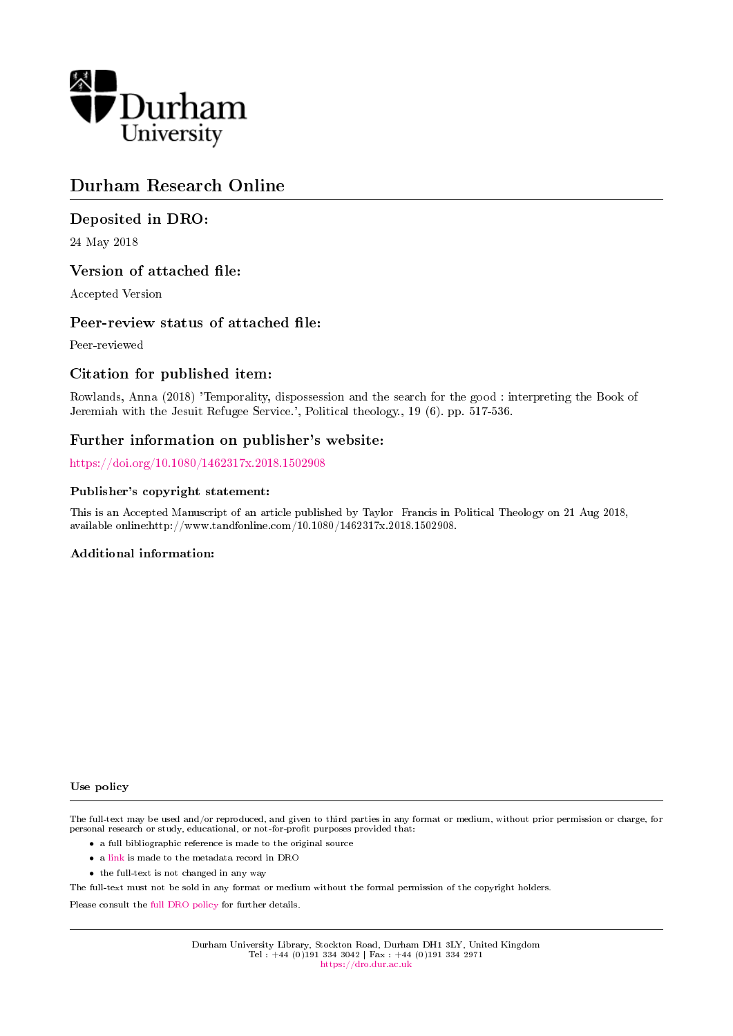

# Durham Research Online

## Deposited in DRO:

24 May 2018

### Version of attached file:

Accepted Version

### Peer-review status of attached file:

Peer-reviewed

# Citation for published item:

Rowlands, Anna (2018) 'Temporality, dispossession and the search for the good : interpreting the Book of Jeremiah with the Jesuit Refugee Service.', Political theology., 19 (6). pp. 517-536.

## Further information on publisher's website:

<https://doi.org/10.1080/1462317x.2018.1502908>

### Publisher's copyright statement:

This is an Accepted Manuscript of an article published by Taylor Francis in Political Theology on 21 Aug 2018, available online:http://www.tandfonline.com/10.1080/1462317x.2018.1502908.

### Additional information:

#### Use policy

The full-text may be used and/or reproduced, and given to third parties in any format or medium, without prior permission or charge, for personal research or study, educational, or not-for-profit purposes provided that:

- a full bibliographic reference is made to the original source
- a [link](http://dro.dur.ac.uk/24967/) is made to the metadata record in DRO
- the full-text is not changed in any way

The full-text must not be sold in any format or medium without the formal permission of the copyright holders.

Please consult the [full DRO policy](https://dro.dur.ac.uk/policies/usepolicy.pdf) for further details.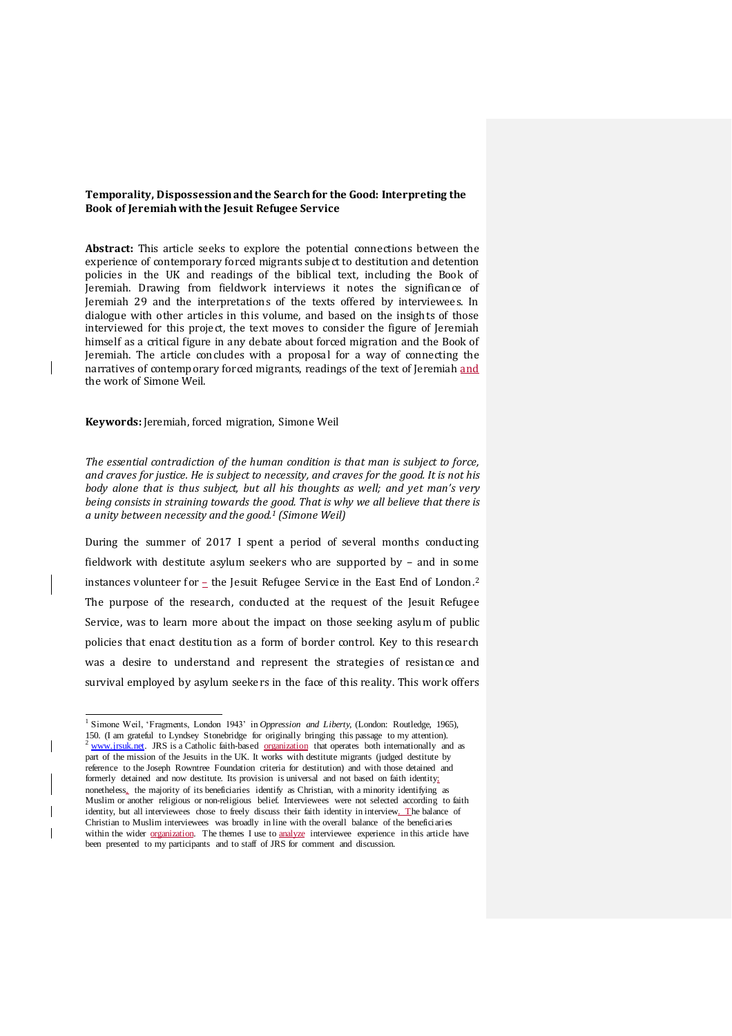#### **Temporality, Dispossession and the Search for the Good: Interpreting the Book of Jeremiah with the Jesuit Refugee Service**

**Abstract:** This article seeks to explore the potential connections between the experience of contemporary forced migrants subject to destitution and detention policies in the UK and readings of the biblical text, including the Book of Jeremiah. Drawing from fieldwork interviews it notes the significance of Jeremiah 29 and the interpretations of the texts offered by interviewees. In dialogue with other articles in this volume, and based on the insights of those interviewed for this project, the text moves to consider the figure of Jeremiah himself as a critical figure in any debate about forced migration and the Book of Jeremiah. The article concludes with a proposal for a way of connecting the narratives of contemporary forced migrants, readings of the text of Jeremiah and the work of Simone Weil.

#### **Keywords:** Jeremiah, forced migration, Simone Weil

 $\overline{a}$ 

*The essential contradiction of the human condition is that man is subject to force, and craves for justice. He is subject to necessity, and craves for the good. It is not his body alone that is thus subject, but all his thoughts as well; and yet man's very being consists in straining towards the good. That is why we all believe that there is a unity between necessity and the good.<sup>1</sup> (Simone Weil)*

During the summer of 2017 I spent a period of several months conducting fieldwork with destitute asylum seekers who are supported by – and in some instances volunteer for  $\pm$  the Jesuit Refugee Service in the East End of London.<sup>2</sup> The purpose of the research, conducted at the request of the Jesuit Refugee Service, was to learn more about the impact on those seeking asylum of public policies that enact destitution as a form of border control. Key to this research was a desire to understand and represent the strategies of resistance and survival employed by asylum seekers in the face of this reality. This work offers

<sup>1</sup> Simone Weil, 'Fragments, London 1943' in *Oppression and Liberty*, (London: Routledge, 1965), 150. (I am grateful to Lyndsey Stonebridge for originally bringing this passage to my attention).<br>
<sup>2</sup> www irsult net IRS is a Catholic field bread accomination that passage to my attention). [www.jrsuk.net.](http://www.jrsuk.net/) JRS is a Catholic faith-based organization that operates both internationally and as part of the mission of the Jesuits in the UK. It works with destitute migrants (judged destitute by reference to the Joseph Rowntree Foundation criteria for destitution) and with those detained and formerly detained and now destitute. Its provision is universal and not based on faith identity; nonetheless, the majority of its beneficiaries identify as Christian, with a minority identifying as Muslim or another religious or non-religious belief. Interviewees were not selected according to faith identity, but all interviewees chose to freely discuss their faith identity in interview. The balance of Christian to Muslim interviewees was broadly in line with the overall balance of the beneficiaries within the wider organization. The themes I use to analyze interviewee experience in this article have been presented to my participants and to staff of JRS for comment and discussion.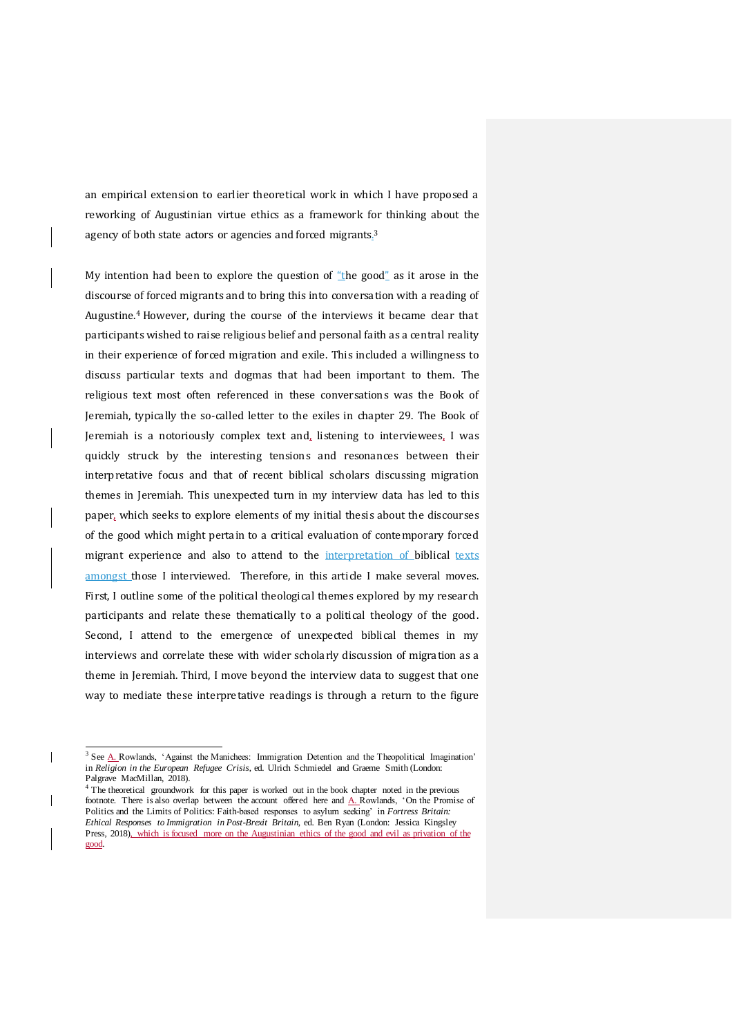an empirical extension to earlier theoretical work in which I have proposed a reworking of Augustinian virtue ethics as a framework for thinking about the agency of both state actors or agencies and forced migrants.<sup>3</sup>

My intention had been to explore the question of  $H$ the good" as it arose in the discourse of forced migrants and to bring this into conversation with a reading of Augustine.<sup>4</sup> However, during the course of the interviews it became clear that participants wished to raise religious belief and personal faith as a central reality in their experience of forced migration and exile. This included a willingness to discuss particular texts and dogmas that had been important to them. The religious text most often referenced in these conversations was the Book of Jeremiah, typically the so-called letter to the exiles in chapter 29. The Book of Jeremiah is a notoriously complex text and, listening to interviewees, I was quickly struck by the interesting tensions and resonances between their interpretative focus and that of recent biblical scholars discussing migration themes in Jeremiah. This unexpected turn in my interview data has led to this paper, which seeks to explore elements of my initial thesis about the discourses of the good which might pertain to a critical evaluation of contemporary forced migrant experience and also to attend to the interpretation of biblical texts amongst those I interviewed. Therefore, in this article I make several moves. First, I outline some of the political theological themes explored by my research participants and relate these thematically to a political theology of the good. Second, I attend to the emergence of unexpected biblical themes in my interviews and correlate these with wider scholarly discussion of migration as a theme in Jeremiah. Third, I move beyond the interview data to suggest that one way to mediate these interpretative readings is through a return to the figure

<sup>&</sup>lt;sup>3</sup> See <u>A.</u> Rowlands, 'Against the Manichees: Immigration Detention and the Theopolitical Imagination' in *Religion in the European Refugee Crisis*, ed. Ulrich Schmiedel and Graeme Smith (London: Palgrave MacMillan, 2018).

<sup>&</sup>lt;sup>4</sup> The theoretical groundwork for this paper is worked out in the book chapter noted in the previous footnote. There is also overlap between the account offered here and  $\underline{A}$ . Rowlands, 'On the Promise of Politics and the Limits of Politics: Faith-based responses to asylum seeking' in *Fortress Britain: Ethical Responses to Immigration in Post-Brexit Britain*, ed. Ben Ryan (London: Jessica Kingsley Press, 2018), which is focused more on the Augustinian ethics of the good and evil as privation of the good.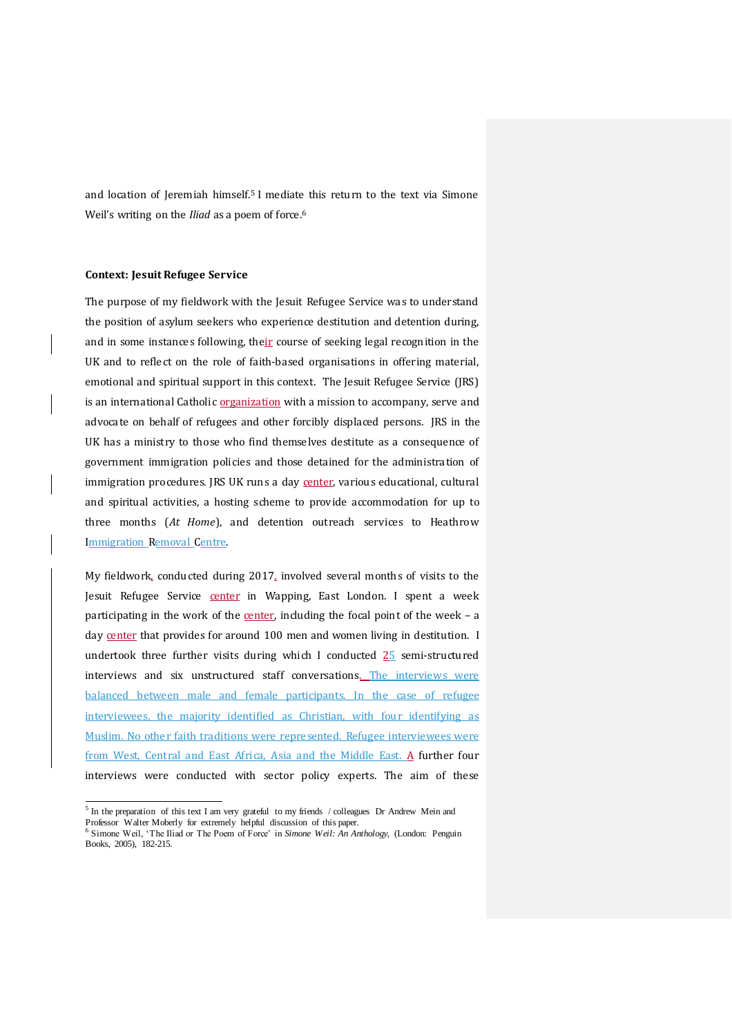and location of Jeremiah himself.<sup>5</sup> I mediate this return to the text via Simone Weil's writing on the *Iliad* as a poem of force. 6

#### **Context: Jesuit Refugee Service**

The purpose of my fieldwork with the Jesuit Refugee Service was to understand the position of asylum seekers who experience destitution and detention during, and in some instances following, their course of seeking legal recognition in the UK and to reflect on the role of faith-based organisations in offering material, emotional and spiritual support in this context. The Jesuit Refugee Service (JRS) is an international Catholic organization with a mission to accompany, serve and advocate on behalf of refugees and other forcibly displaced persons. JRS in the UK has a ministry to those who find themselves destitute as a consequence of government immigration policies and those detained for the administration of immigration procedures. JRS UK runs a day center, various educational, cultural and spiritual activities, a hosting scheme to provide accommodation for up to three months (*At Home*), and detention outreach services to Heathrow Immigration Removal Centre.

My fieldwork, conducted during 2017, involved several months of visits to the Jesuit Refugee Service center in Wapping, East London. I spent a week participating in the work of the center, including the focal point of the week - a day center that provides for around 100 men and women living in destitution. I undertook three further visits during which I conducted  $25$  semi-structured interviews and six unstructured staff conversations. The interviews were balanced between male and female participants. In the case of refugee interviewees, the majority identified as Christian, with four identifying as Muslim. No other faith traditions were represented. Refugee interviewees were from West, Central and East Africa, Asia and the Middle East. A further four interviews were conducted with sector policy experts. The aim of these

<sup>&</sup>lt;sup>5</sup> In the preparation of this text I am very grateful to my friends / colleagues Dr Andrew Mein and Professor Walter Moberly for extremely helpful discussion of this paper.

<sup>&</sup>lt;sup>6</sup> Simone Weil, 'The Iliad or The Poem of Force' in *Simone Weil: An Anthology*, (London: Penguin Books, 2005), 182-215.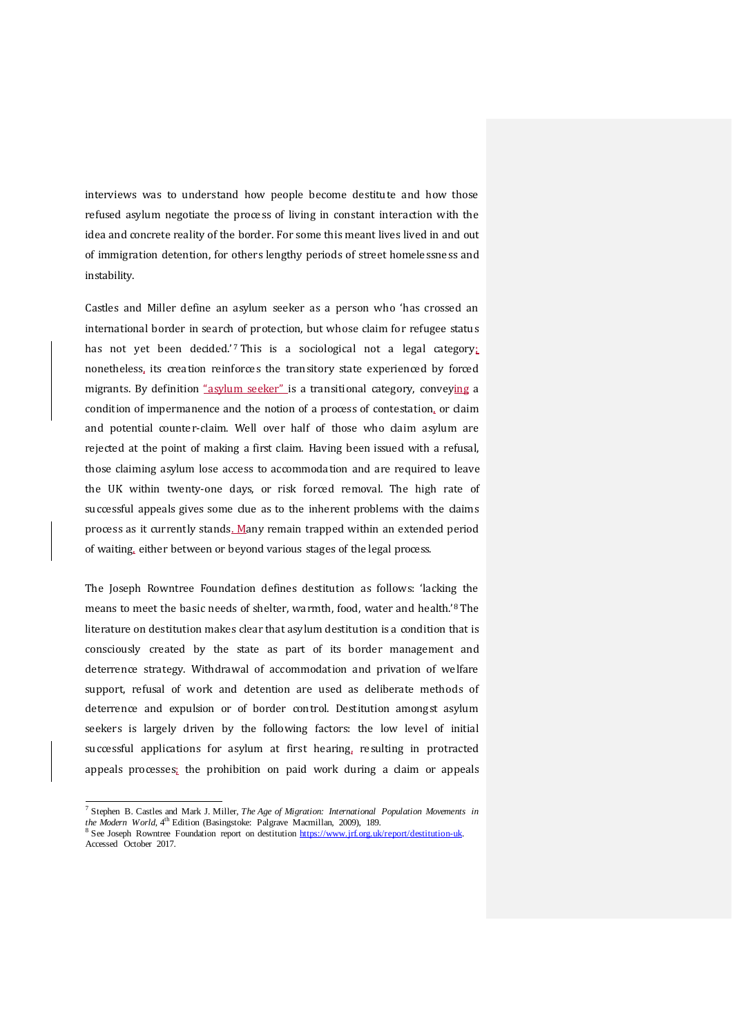interviews was to understand how people become destitute and how those refused asylum negotiate the process of living in constant interaction with the idea and concrete reality of the border. For some this meant lives lived in and out of immigration detention, for others lengthy periods of street homelessness and instability.

Castles and Miller define an asylum seeker as a person who 'has crossed an international border in search of protection, but whose claim for refugee status has not yet been decided.'<sup>7</sup> This is a sociological not a legal category; nonetheless, its creation reinforces the transitory state experienced by forced migrants. By definition "asylum seeker" is a transitional category, conveying a condition of impermanence and the notion of a process of contestation, or claim and potential counter-claim. Well over half of those who claim asylum are rejected at the point of making a first claim. Having been issued with a refusal, those claiming asylum lose access to accommodation and are required to leave the UK within twenty-one days, or risk forced removal. The high rate of successful appeals gives some clue as to the inherent problems with the claims process as it currently stands. Many remain trapped within an extended period of waiting, either between or beyond various stages of the legal process.

The Joseph Rowntree Foundation defines destitution as follows: 'lacking the means to meet the basic needs of shelter, warmth, food, water and health.'<sup>8</sup> The literature on destitution makes clear that asylum destitution is a condition that is consciously created by the state as part of its border management and deterrence strategy. Withdrawal of accommodation and privation of welfare support, refusal of work and detention are used as deliberate methods of deterrence and expulsion or of border control. Destitution amongst asylum seekers is largely driven by the following factors: the low level of initial successful applications for asylum at first hearing, resulting in protracted appeals processes; the prohibition on paid work during a claim or appeals

 7 Stephen B. Castles and Mark J. Miller, *The Age of Migration: International Population Movements in*  t*he Modern World*, 4<sup>th</sup> Edition (Basingstoke: Palgrave Macmillan, 2009), 189.<br><sup>8</sup> See Joseph Rowntree Foundation report on destitution https://www.jrf.org.uk/report/destitution-uk.

Accessed October 2017.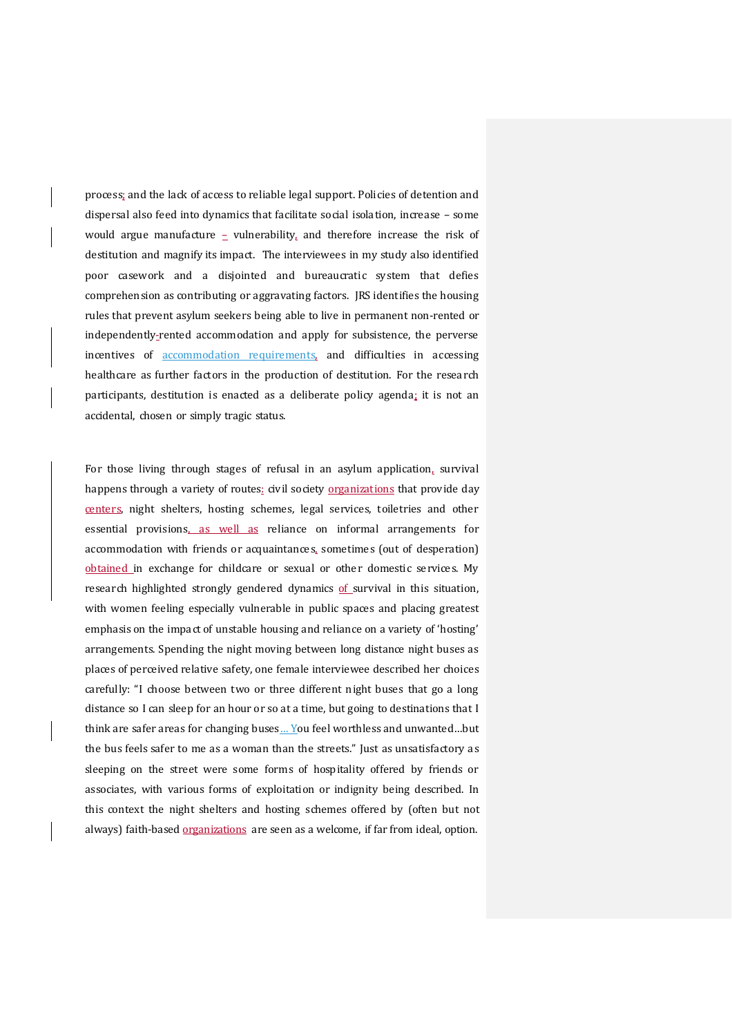process; and the lack of access to reliable legal support. Policies of detention and dispersal also feed into dynamics that facilitate social isolation, increase – some would argue manufacture  $\pm$  vulnerability, and therefore increase the risk of destitution and magnify its impact. The interviewees in my study also identified poor casework and a disjointed and bureaucratic system that defies comprehension as contributing or aggravating factors. JRS identifies the housing rules that prevent asylum seekers being able to live in permanent non-rented or independently-rented accommodation and apply for subsistence, the perverse incentives of **accommodation** requirements, and difficulties in accessing healthcare as further factors in the production of destitution. For the research participants, destitution is enacted as a deliberate policy agenda; it is not an accidental, chosen or simply tragic status.

For those living through stages of refusal in an asylum application, survival happens through a variety of routes: civil society organizations that provide day centers, night shelters, hosting schemes, legal services, toiletries and other essential provisions, as well as reliance on informal arrangements for accommodation with friends or acquaintances, sometimes (out of desperation) obtained in exchange for childcare or sexual or other domestic services. My research highlighted strongly gendered dynamics of survival in this situation, with women feeling especially vulnerable in public spaces and placing greatest emphasis on the impact of unstable housing and reliance on a variety of 'hosting' arrangements. Spending the night moving between long distance night buses as places of perceived relative safety, one female interviewee described her choices carefully: "I choose between two or three different night buses that go a long distance so I can sleep for an hour or so at a time, but going to destinations that I think are safer areas for changing buses... You feel worthless and unwanted...but the bus feels safer to me as a woman than the streets." Just as unsatisfactory as sleeping on the street were some forms of hospitality offered by friends or associates, with various forms of exploitation or indignity being described. In this context the night shelters and hosting schemes offered by (often but not always) faith-based organizations are seen as a welcome, if far from ideal, option.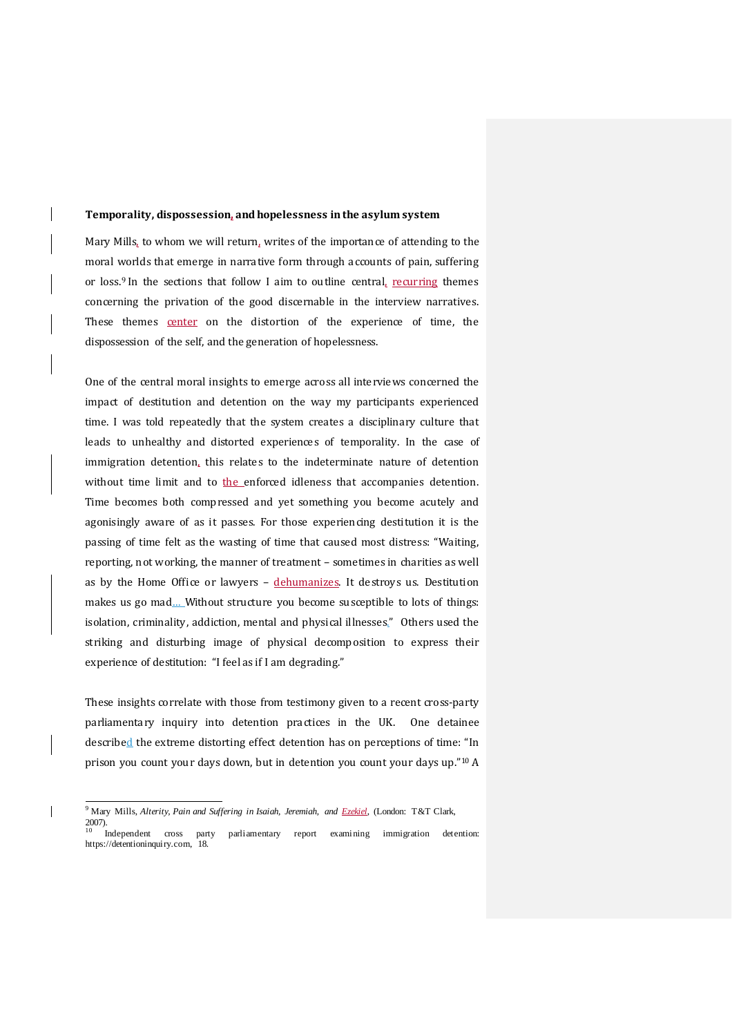#### **Temporality, dispossession, and hopelessness in the asylum system**

Mary Mills, to whom we will return, writes of the importance of attending to the moral worlds that emerge in narrative form through accounts of pain, suffering or loss.<sup>9</sup> In the sections that follow I aim to outline central, recurring themes concerning the privation of the good discernable in the interview narratives. These themes **center** on the distortion of the experience of time, the dispossession of the self, and the generation of hopelessness.

One of the central moral insights to emerge across all interviews concerned the impact of destitution and detention on the way my participants experienced time. I was told repeatedly that the system creates a disciplinary culture that leads to unhealthy and distorted experiences of temporality. In the case of immigration detention, this relates to the indeterminate nature of detention without time limit and to the enforced idleness that accompanies detention. Time becomes both compressed and yet something you become acutely and agonisingly aware of as it passes. For those experiencing destitution it is the passing of time felt as the wasting of time that caused most distress: "Waiting, reporting, not working, the manner of treatment – sometimes in charities as well as by the Home Office or lawyers  $-$  dehumanizes. It destroys us. Destitution makes us go mad… Without structure you become susceptible to lots of things: isolation, criminality, addiction, mental and physical illnesses." Others used the striking and disturbing image of physical decomposition to express their experience of destitution: "I feel as if I am degrading."

These insights correlate with those from testimony given to a recent cross-party parliamentary inquiry into detention practices in the UK. One detainee described the extreme distorting effect detention has on perceptions of time: "In prison you count your days down, but in detention you count your days up."<sup>10</sup> A

j

<sup>9</sup> Mary Mills, *Alterity, Pain and Suffering in Isaiah, Jeremiah, and Ezekiel*, (London: T&T Clark, 2007).

parliamentary report examining immigration detention: https://detentioninquiry.com, 18.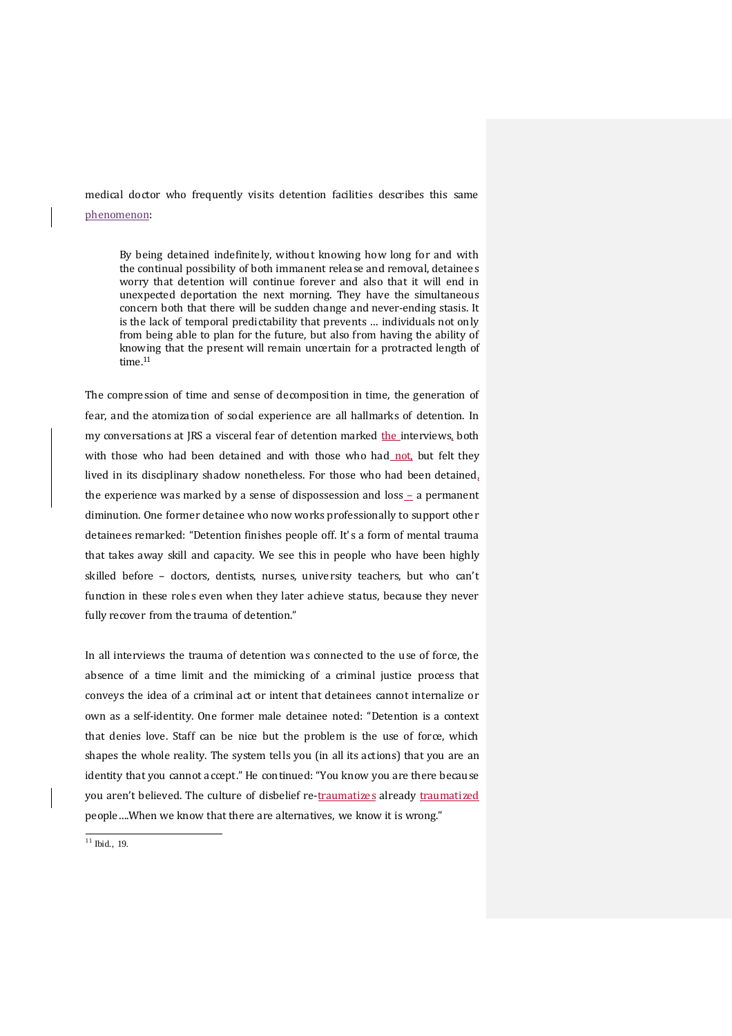medical doctor who frequently visits detention facilities describes this same phenomenon:

By being detained indefinitely, without knowing how long for and with the continual possibility of both immanent release and removal, detainees worry that detention will continue forever and also that it will end in unexpected deportation the next morning. They have the simultaneous concern both that there will be sudden change and never-ending stasis. It is the lack of temporal predictability that prevents … individuals not only from being able to plan for the future, but also from having the ability of knowing that the present will remain uncertain for a protracted length of time.<sup>11</sup>

The compression of time and sense of decomposition in time, the generation of fear, and the atomization of social experience are all hallmarks of detention. In my conversations at JRS a visceral fear of detention marked the interviews, both with those who had been detained and with those who had not, but felt they lived in its disciplinary shadow nonetheless. For those who had been detained, the experience was marked by a sense of dispossession and  $loss_$  a permanent diminution. One former detainee who now works professionally to support other detainees remarked: "Detention finishes people off. It's a form of mental trauma that takes away skill and capacity. We see this in people who have been highly skilled before – doctors, dentists, nurses, university teachers, but who can't function in these roles even when they later achieve status, because they never fully recover from the trauma of detention."

In all interviews the trauma of detention was connected to the use of force, the absence of a time limit and the mimicking of a criminal justice process that conveys the idea of a criminal act or intent that detainees cannot internalize or own as a self-identity. One former male detainee noted: "Detention is a context that denies love. Staff can be nice but the problem is the use of force, which shapes the whole reality. The system tells you (in all its actions) that you are an identity that you cannot accept." He continued: "You know you are there because you aren't believed. The culture of disbelief re-traumatizes already traumatized people….When we know that there are alternatives, we know it is wrong."

 $\overline{a}$  $11$  Ibid., 19.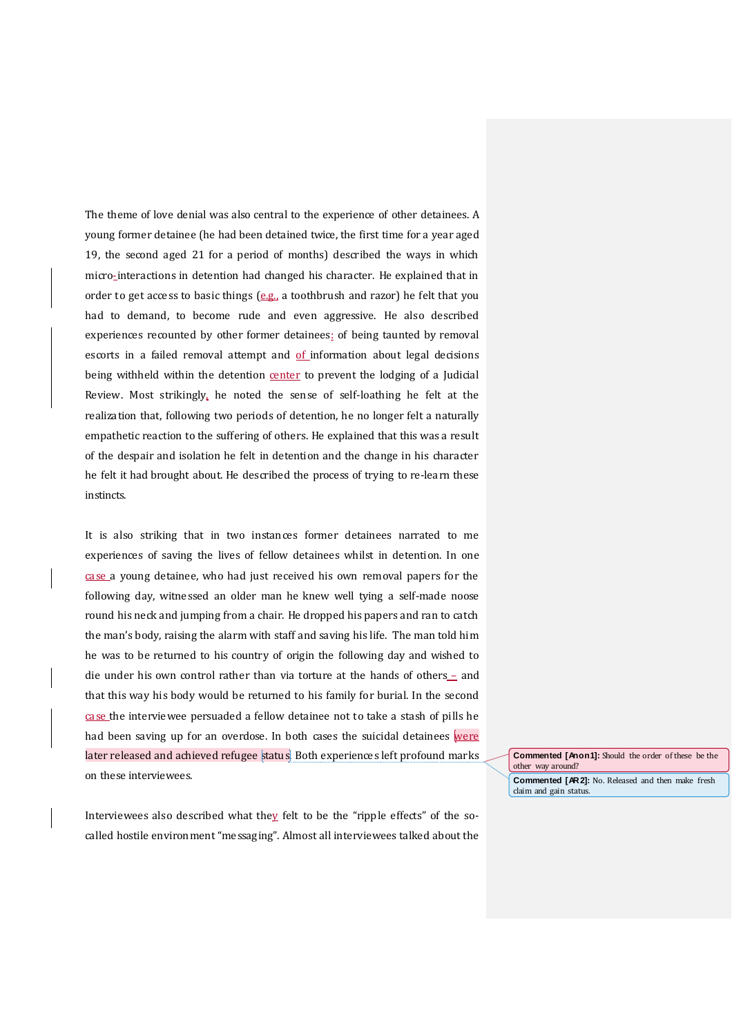The theme of love denial was also central to the experience of other detainees. A young former detainee (he had been detained twice, the first time for a year aged 19, the second aged 21 for a period of months) described the ways in which micro-interactions in detention had changed his character. He explained that in order to get access to basic things  $(e.g., a$  toothbrush and razor) he felt that you had to demand, to become rude and even aggressive. He also described experiences recounted by other former detainees: of being taunted by removal escorts in a failed removal attempt and of information about legal decisions being withheld within the detention center to prevent the lodging of a Judicial Review. Most strikingly, he noted the sense of self-loathing he felt at the realization that, following two periods of detention, he no longer felt a naturally empathetic reaction to the suffering of others. He explained that this was a result of the despair and isolation he felt in detention and the change in his character he felt it had brought about. He described the process of trying to re-learn these instincts.

It is also striking that in two instances former detainees narrated to me experiences of saving the lives of fellow detainees whilst in detention. In one case a young detainee, who had just received his own removal papers for the following day, witnessed an older man he knew well tying a self-made noose round his neck and jumping from a chair. He dropped his papers and ran to catch the man's body, raising the alarm with staff and saving his life. The man told him he was to be returned to his country of origin the following day and wished to die under his own control rather than via torture at the hands of others - and that this way his body would be returned to his family for burial. In the second case the interviewee persuaded a fellow detainee not to take a stash of pills he had been saving up for an overdose. In both cases the suicidal detainees were later released and achieved refugee status. Both experiences left profound marks on these interviewees.

Interviewees also described what they felt to be the "ripple effects" of the socalled hostile environment "messaging". Almost all interviewees talked about the **Commented [Anon1]:** Should the order of these be the other way around?

**Commented [AR2]:** No. Released and then make fresh claim and gain status.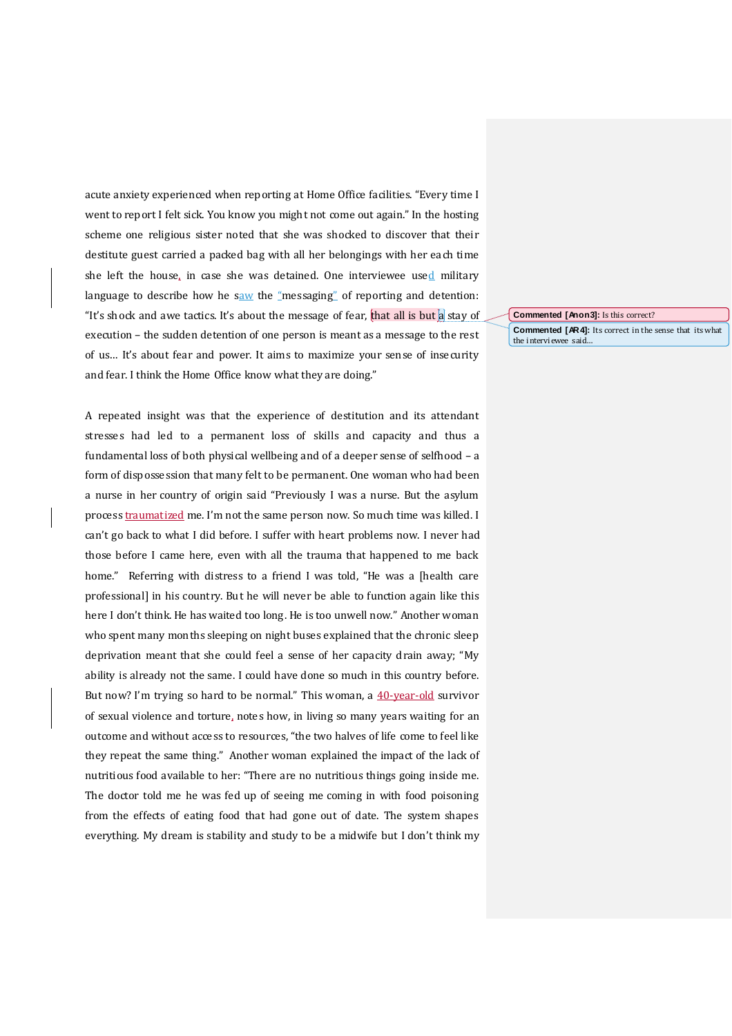acute anxiety experienced when reporting at Home Office facilities. "Every time I went to report I felt sick. You know you might not come out again." In the hosting scheme one religious sister noted that she was shocked to discover that their destitute guest carried a packed bag with all her belongings with her each time she left the house, in case she was detained. One interviewee used military language to describe how he saw the "messaging" of reporting and detention: "It's shock and awe tactics. It's about the message of fear, that all is but a stay of execution – the sudden detention of one person is meant as a message to the rest of us… It's about fear and power. It aims to maximize your sense of insecurity and fear. I think the Home Office know what they are doing."

A repeated insight was that the experience of destitution and its attendant stresses had led to a permanent loss of skills and capacity and thus a fundamental loss of both physical wellbeing and of a deeper sense of selfhood – a form of dispossession that many felt to be permanent. One woman who had been a nurse in her country of origin said "Previously I was a nurse. But the asylum process traumatized me. I'm not the same person now. So much time was killed. I can't go back to what I did before. I suffer with heart problems now. I never had those before I came here, even with all the trauma that happened to me back home." Referring with distress to a friend I was told, "He was a [health care professional] in his country. But he will never be able to function again like this here I don't think. He has waited too long. He is too unwell now." Another woman who spent many months sleeping on night buses explained that the chronic sleep deprivation meant that she could feel a sense of her capacity drain away; "My ability is already not the same. I could have done so much in this country before. But now? I'm trying so hard to be normal." This woman, a 40-year-old survivor of sexual violence and torture, notes how, in living so many years waiting for an outcome and without access to resources, "the two halves of life come to feel like they repeat the same thing." Another woman explained the impact of the lack of nutritious food available to her: "There are no nutritious things going inside me. The doctor told me he was fed up of seeing me coming in with food poisoning from the effects of eating food that had gone out of date. The system shapes everything. My dream is stability and study to be a midwife but I don't think my

**Commented [Anon3]:** Is this correct? **Commented [AR4]:** Its correct in the sense that its what the interviewee said…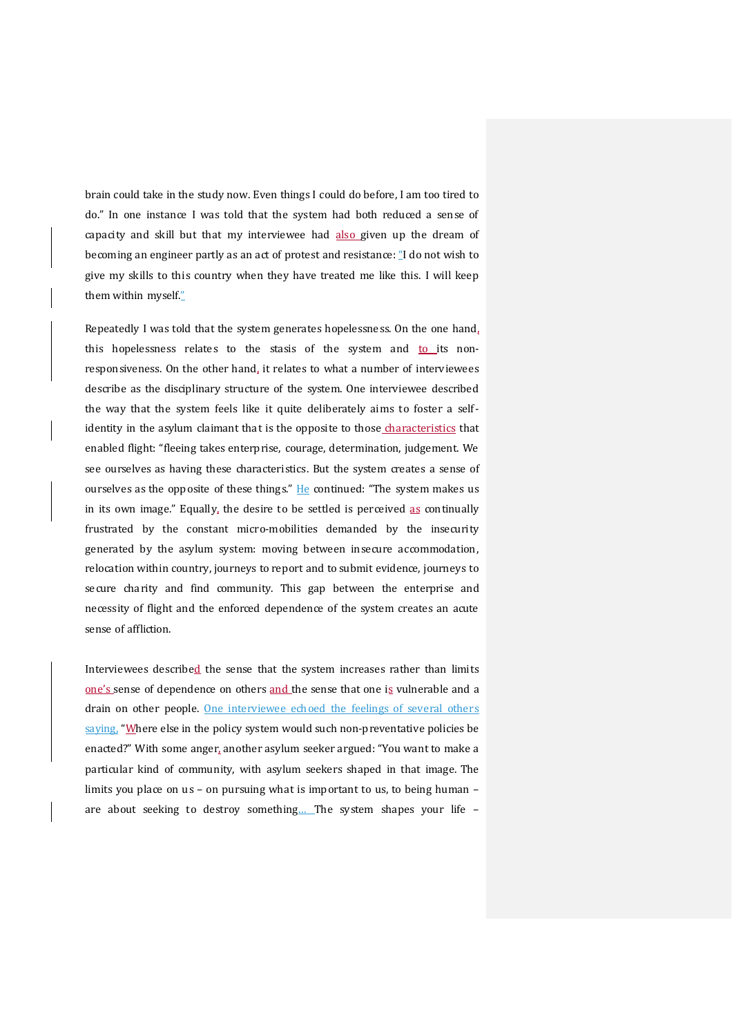brain could take in the study now. Even things I could do before, I am too tired to do." In one instance I was told that the system had both reduced a sense of capacity and skill but that my interviewee had also given up the dream of becoming an engineer partly as an act of protest and resistance: "I do not wish to give my skills to this country when they have treated me like this. I will keep them within myself."

Repeatedly I was told that the system generates hopelessness. On the one hand, this hopelessness relates to the stasis of the system and to its nonresponsiveness. On the other hand, it relates to what a number of interviewees describe as the disciplinary structure of the system. One interviewee described the way that the system feels like it quite deliberately aims to foster a selfidentity in the asylum claimant that is the opposite to those characteristics that enabled flight: "fleeing takes enterprise, courage, determination, judgement. We see ourselves as having these characteristics. But the system creates a sense of ourselves as the opposite of these things." He continued: "The system makes us in its own image." Equally, the desire to be settled is perceived  $\frac{as}{ds}$  continually frustrated by the constant micro-mobilities demanded by the insecurity generated by the asylum system: moving between insecure accommodation, relocation within country, journeys to report and to submit evidence, journeys to secure charity and find community. This gap between the enterprise and necessity of flight and the enforced dependence of the system creates an acute sense of affliction.

Interviewees described the sense that the system increases rather than limits one's sense of dependence on others and the sense that one is vulnerable and a drain on other people. One interviewee echoed the feelings of several others saying, "Where else in the policy system would such non-preventative policies be enacted?" With some anger, another asylum seeker argued: "You want to make a particular kind of community, with asylum seekers shaped in that image. The limits you place on us – on pursuing what is important to us, to being human – are about seeking to destroy something… The system shapes your life –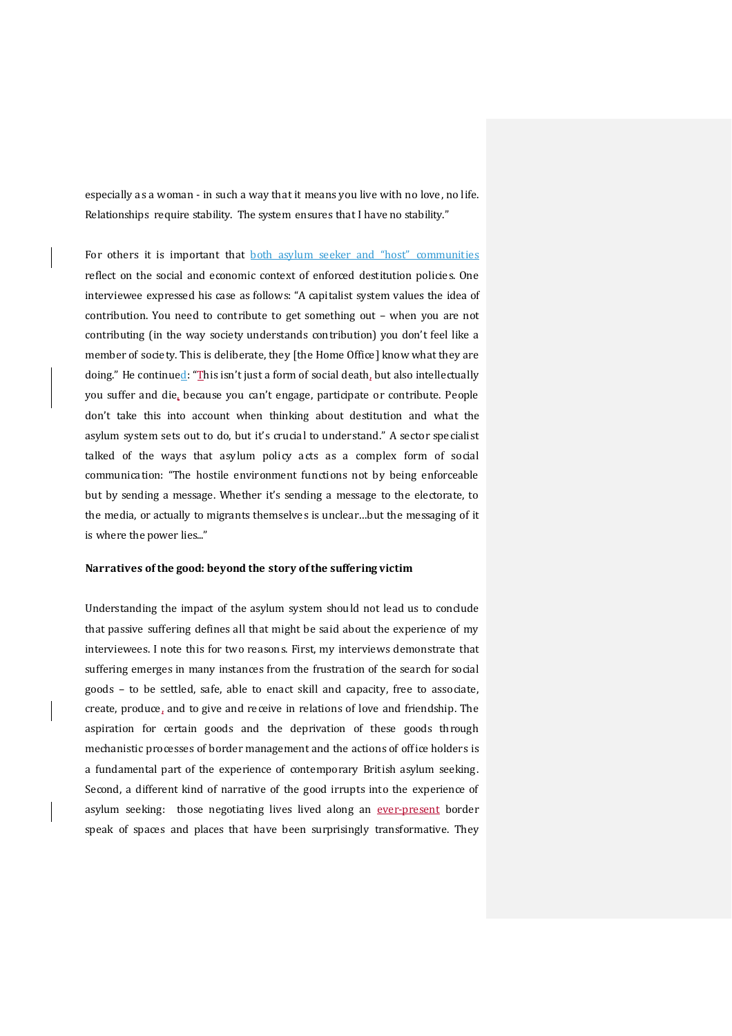especially as a woman - in such a way that it means you live with no love, no life. Relationships require stability. The system ensures that I have no stability."

For others it is important that **both** asylum seeker and "host" communities reflect on the social and economic context of enforced destitution policies. One interviewee expressed his case as follows: "A capitalist system values the idea of contribution. You need to contribute to get something out – when you are not contributing (in the way society understands contribution) you don't feel like a member of society. This is deliberate, they [the Home Office] know what they are doing." He continued: "This isn't just a form of social death, but also intellectually you suffer and die, because you can't engage, participate or contribute. People don't take this into account when thinking about destitution and what the asylum system sets out to do, but it's crucial to understand." A sector specialist talked of the ways that asylum policy acts as a complex form of social communication: "The hostile environment functions not by being enforceable but by sending a message. Whether it's sending a message to the electorate, to the media, or actually to migrants themselves is unclear…but the messaging of it is where the power lies..."

#### **Narratives of the good: beyond the story of the suffering victim**

Understanding the impact of the asylum system should not lead us to conclude that passive suffering defines all that might be said about the experience of my interviewees. I note this for two reasons. First, my interviews demonstrate that suffering emerges in many instances from the frustration of the search for social goods – to be settled, safe, able to enact skill and capacity, free to associate, create, produce, and to give and receive in relations of love and friendship. The aspiration for certain goods and the deprivation of these goods through mechanistic processes of border management and the actions of office holders is a fundamental part of the experience of contemporary British asylum seeking. Second, a different kind of narrative of the good irrupts into the experience of asylum seeking: those negotiating lives lived along an ever-present border speak of spaces and places that have been surprisingly transformative. They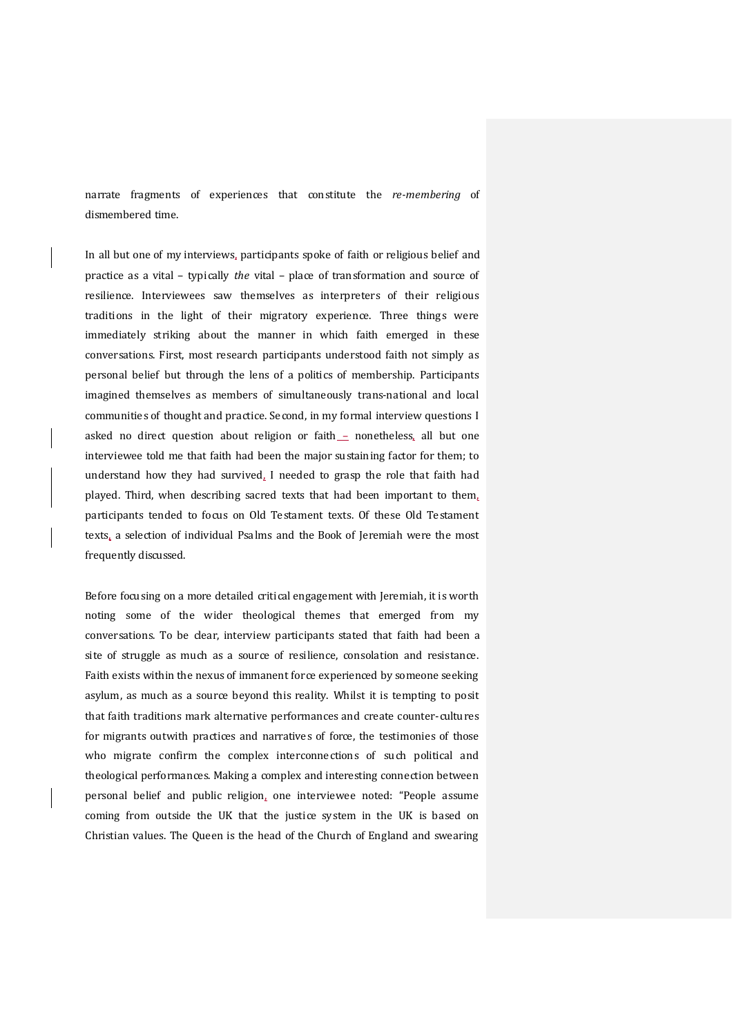narrate fragments of experiences that constitute the *re-membering* of dismembered time.

In all but one of my interviews, participants spoke of faith or religious belief and practice as a vital – typically *the* vital – place of transformation and source of resilience. Interviewees saw themselves as interpreters of their religious traditions in the light of their migratory experience. Three things were immediately striking about the manner in which faith emerged in these conversations. First, most research participants understood faith not simply as personal belief but through the lens of a politics of membership. Participants imagined themselves as members of simultaneously trans-national and local communities of thought and practice. Second, in my formal interview questions I asked no direct question about religion or faith  $-$  nonetheless, all but one interviewee told me that faith had been the major sustaining factor for them; to understand how they had survived, I needed to grasp the role that faith had played. Third, when describing sacred texts that had been important to them, participants tended to focus on Old Testament texts. Of these Old Testament texts, a selection of individual Psalms and the Book of Jeremiah were the most frequently discussed.

Before focusing on a more detailed critical engagement with Jeremiah, it is worth noting some of the wider theological themes that emerged from my conversations. To be clear, interview participants stated that faith had been a site of struggle as much as a source of resilience, consolation and resistance. Faith exists within the nexus of immanent force experienced by someone seeking asylum, as much as a source beyond this reality. Whilst it is tempting to posit that faith traditions mark alternative performances and create counter-cultures for migrants outwith practices and narratives of force, the testimonies of those who migrate confirm the complex interconnections of such political and theological performances. Making a complex and interesting connection between personal belief and public religion, one interviewee noted: "People assume coming from outside the UK that the justice system in the UK is based on Christian values. The Queen is the head of the Church of England and swearing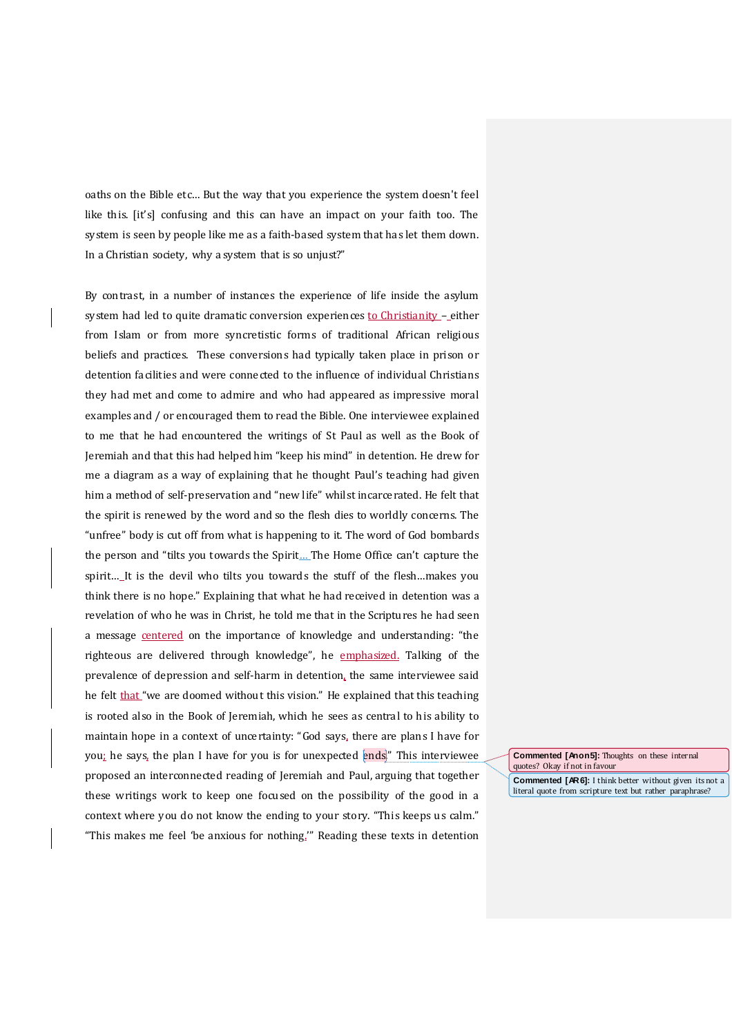oaths on the Bible etc… But the way that you experience the system doesn't feel like this. [it's] confusing and this can have an impact on your faith too. The system is seen by people like me as a faith-based system that has let them down. In a Christian society, why a system that is so unjust?"

By contrast, in a number of instances the experience of life inside the asylum system had led to quite dramatic conversion experiences to Christianity - either from Islam or from more syncretistic forms of traditional African religious beliefs and practices. These conversions had typically taken place in prison or detention facilities and were connected to the influence of individual Christians they had met and come to admire and who had appeared as impressive moral examples and / or encouraged them to read the Bible. One interviewee explained to me that he had encountered the writings of St Paul as well as the Book of Jeremiah and that this had helped him "keep his mind" in detention. He drew for me a diagram as a way of explaining that he thought Paul's teaching had given him a method of self-preservation and "new life" whilst incarcerated. He felt that the spirit is renewed by the word and so the flesh dies to worldly concerns. The "unfree" body is cut off from what is happening to it. The word of God bombards the person and "tilts you towards the Spirit… The Home Office can't capture the spirit… It is the devil who tilts you towards the stuff of the flesh…makes you think there is no hope." Explaining that what he had received in detention was a revelation of who he was in Christ, he told me that in the Scriptures he had seen a message centered on the importance of knowledge and understanding: "the righteous are delivered through knowledge", he emphasized. Talking of the prevalence of depression and self-harm in detention, the same interviewee said he felt that "we are doomed without this vision." He explained that this teaching is rooted also in the Book of Jeremiah, which he sees as central to his ability to maintain hope in a context of uncertainty: "God says, there are plans I have for you; he says, the plan I have for you is for unexpected ends." This interviewee proposed an interconnected reading of Jeremiah and Paul, arguing that together these writings work to keep one focused on the possibility of the good in a context where you do not know the ending to your story. "This keeps us calm." "This makes me feel 'be anxious for nothing.'" Reading these texts in detention

**Commented [Anon5]:** Thoughts on these internal quotes? Okay if not in favour

**Commented [AR6]:** I think better without given its not a literal quote from scripture text but rather paraphrase?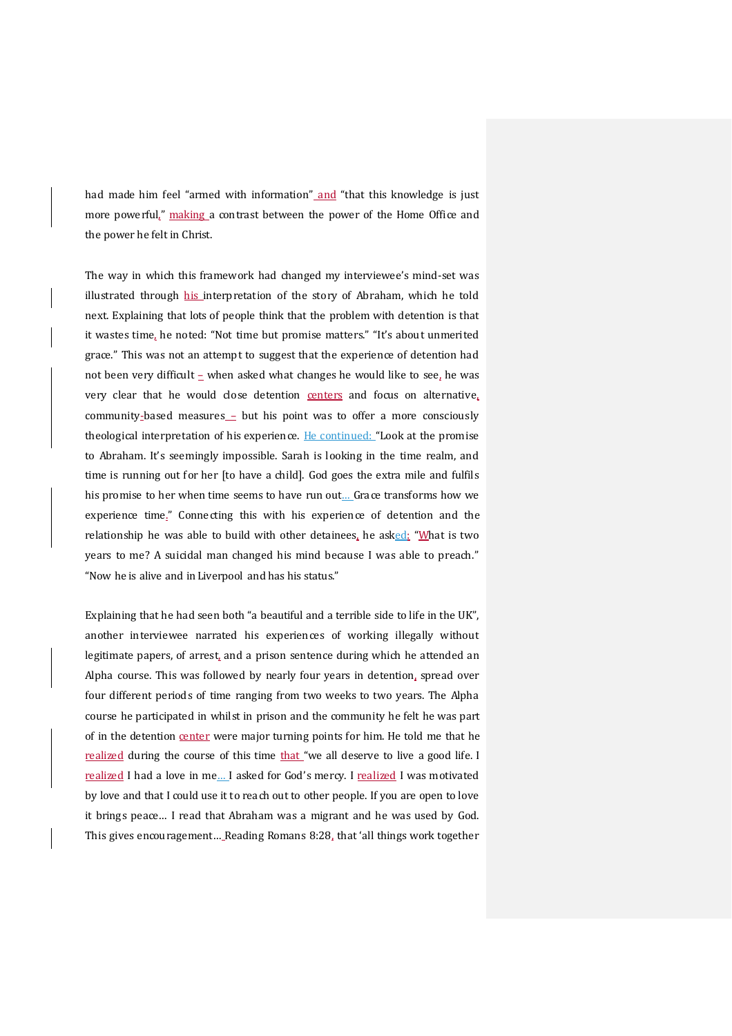had made him feel "armed with information" and "that this knowledge is just more powerful," making a contrast between the power of the Home Office and the power he felt in Christ.

The way in which this framework had changed my interviewee's mind-set was illustrated through his interpretation of the story of Abraham, which he told next. Explaining that lots of people think that the problem with detention is that it wastes time, he noted: "Not time but promise matters." "It's about unmerited grace." This was not an attempt to suggest that the experience of detention had not been very difficult  $\pm$  when asked what changes he would like to see, he was very clear that he would close detention centers and focus on alternative, community-based measures  $-$  but his point was to offer a more consciously theological interpretation of his experience. He continued: "Look at the promise to Abraham. It's seemingly impossible. Sarah is looking in the time realm, and time is running out for her [to have a child]. God goes the extra mile and fulfils his promise to her when time seems to have run out... Grace transforms how we experience time." Connecting this with his experience of detention and the relationship he was able to build with other detainees, he asked: "What is two years to me? A suicidal man changed his mind because I was able to preach." "Now he is alive and in Liverpool and has his status."

Explaining that he had seen both "a beautiful and a terrible side to life in the UK", another interviewee narrated his experiences of working illegally without legitimate papers, of arrest, and a prison sentence during which he attended an Alpha course. This was followed by nearly four years in detention, spread over four different periods of time ranging from two weeks to two years. The Alpha course he participated in whilst in prison and the community he felt he was part of in the detention center were major turning points for him. He told me that he realized during the course of this time that "we all deserve to live a good life. I realized I had a love in me... I asked for God's mercy. I realized I was motivated by love and that I could use it to reach out to other people. If you are open to love it brings peace… I read that Abraham was a migrant and he was used by God. This gives encouragement... Reading Romans 8:28, that 'all things work together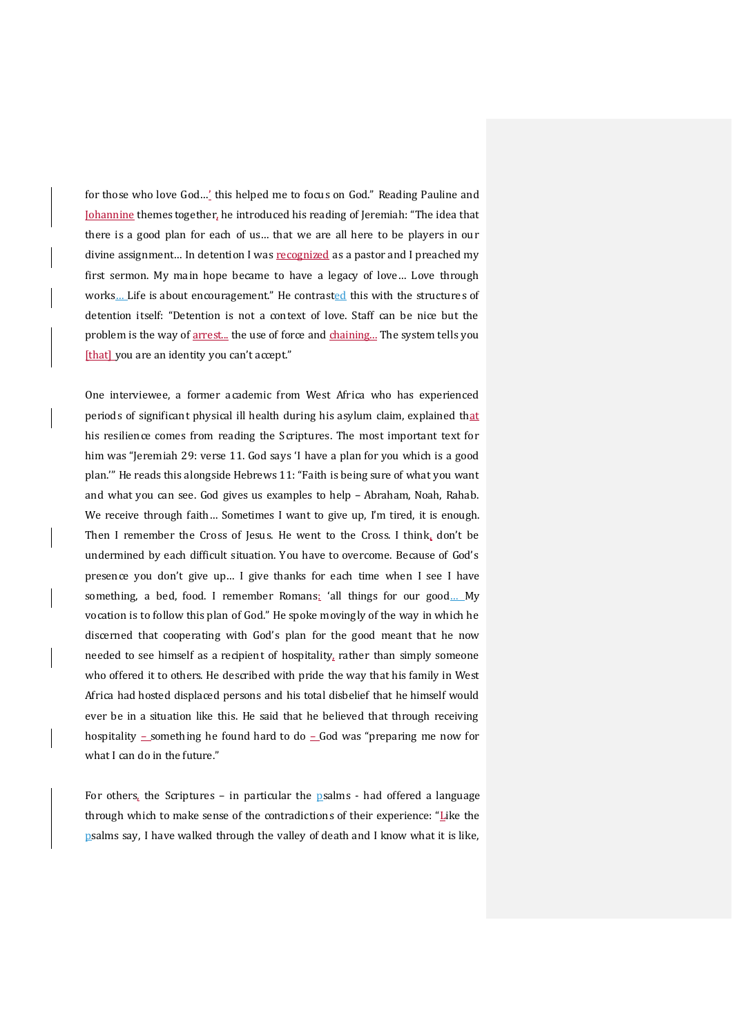for those who love God…' this helped me to focus on God." Reading Pauline and Johannine themes together, he introduced his reading of Jeremiah: "The idea that there is a good plan for each of us… that we are all here to be players in our divine assignment... In detention I was recognized as a pastor and I preached my first sermon. My main hope became to have a legacy of love… Love through works… Life is about encouragement." He contrasted this with the structures of detention itself: "Detention is not a context of love. Staff can be nice but the problem is the way of arrest... the use of force and chaining... The system tells you [that] you are an identity you can't accept."

One interviewee, a former academic from West Africa who has experienced periods of significant physical ill health during his asylum claim, explained that his resilience comes from reading the Scriptures. The most important text for him was "Jeremiah 29: verse 11. God says 'I have a plan for you which is a good plan.'" He reads this alongside Hebrews 11: "Faith is being sure of what you want and what you can see. God gives us examples to help – Abraham, Noah, Rahab. We receive through faith... Sometimes I want to give up, I'm tired, it is enough. Then I remember the Cross of Jesus. He went to the Cross. I think, don't be undermined by each difficult situation. You have to overcome. Because of God's presence you don't give up… I give thanks for each time when I see I have something, a bed, food. I remember Romans: 'all things for our good... My vocation is to follow this plan of God." He spoke movingly of the way in which he discerned that cooperating with God's plan for the good meant that he now needed to see himself as a recipient of hospitality, rather than simply someone who offered it to others. He described with pride the way that his family in West Africa had hosted displaced persons and his total disbelief that he himself would ever be in a situation like this. He said that he believed that through receiving hospitality  $\equiv$  something he found hard to do  $\equiv$  God was "preparing me now for what I can do in the future."

For others, the Scriptures - in particular the psalms - had offered a language through which to make sense of the contradictions of their experience: "Like the psalms say, I have walked through the valley of death and I know what it is like,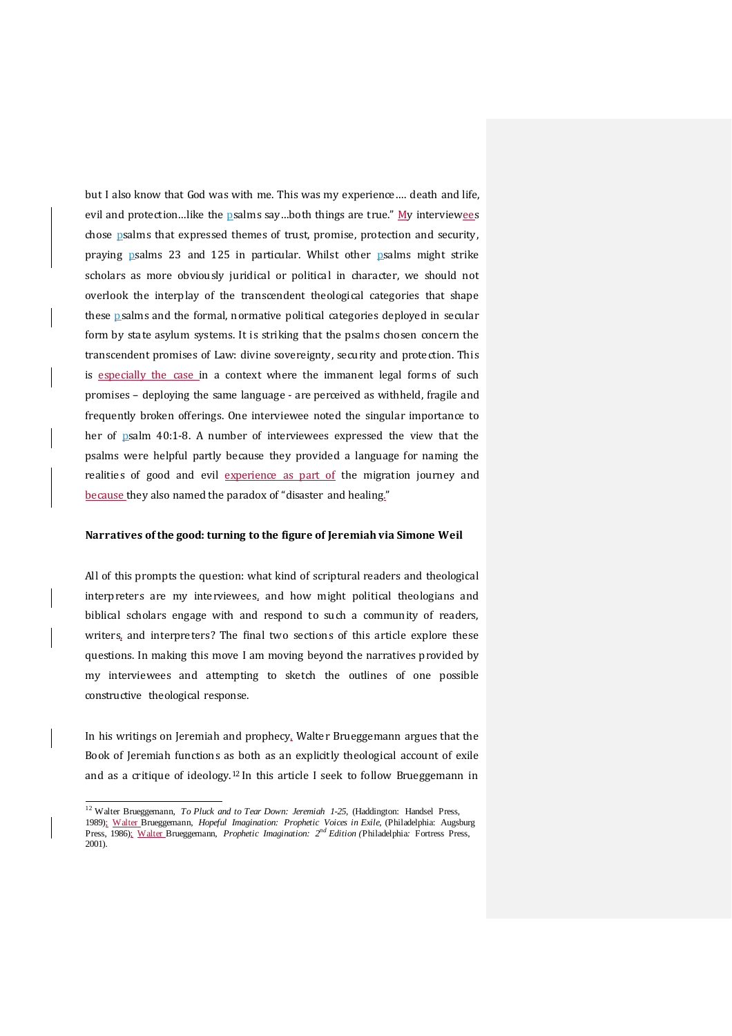but I also know that God was with me. This was my experience…. death and life, evil and protection...like the psalms say...both things are true."  $My$  interviewees chose psalms that expressed themes of trust, promise, protection and security, praying psalms 23 and 125 in particular. Whilst other psalms might strike scholars as more obviously juridical or political in character, we should not overlook the interplay of the transcendent theological categories that shape these psalms and the formal, normative political categories deployed in secular form by state asylum systems. It is striking that the psalms chosen concern the transcendent promises of Law: divine sovereignty, security and protection. This is especially the case in a context where the immanent legal forms of such promises – deploying the same language - are perceived as withheld, fragile and frequently broken offerings. One interviewee noted the singular importance to her of psalm 40:1-8. A number of interviewees expressed the view that the psalms were helpful partly because they provided a language for naming the realities of good and evil experience as part of the migration journey and because they also named the paradox of "disaster and healing."

#### **Narratives of the good: turning to the figure of Jeremiah via Simone Weil**

All of this prompts the question: what kind of scriptural readers and theological interpreters are my interviewees, and how might political theologians and biblical scholars engage with and respond to such a community of readers, writers, and interpreters? The final two sections of this article explore these questions. In making this move I am moving beyond the narratives provided by my interviewees and attempting to sketch the outlines of one possible constructive theological response.

In his writings on Jeremiah and prophecy, Walter Brueggemann argues that the Book of Jeremiah functions as both as an explicitly theological account of exile and as a critique of ideology.<sup>12</sup> In this article I seek to follow Brueggemann in

j

<sup>12</sup> Walter Brueggemann, *To Pluck and to Tear Down: Jeremiah 1-25*, (Haddington: Handsel Press, 1989)<u>; Walter B</u>rueggemann, *Hopeful Imagination: Prophetic Voices in Exile*, (Philadelphia: Augsburg<br>Press, 1986)<u>; Walter B</u>rueggemann, *Prophetic Imagination: 2<sup>nd</sup> Edition* (Philadelphia: Fortress Press, 2001).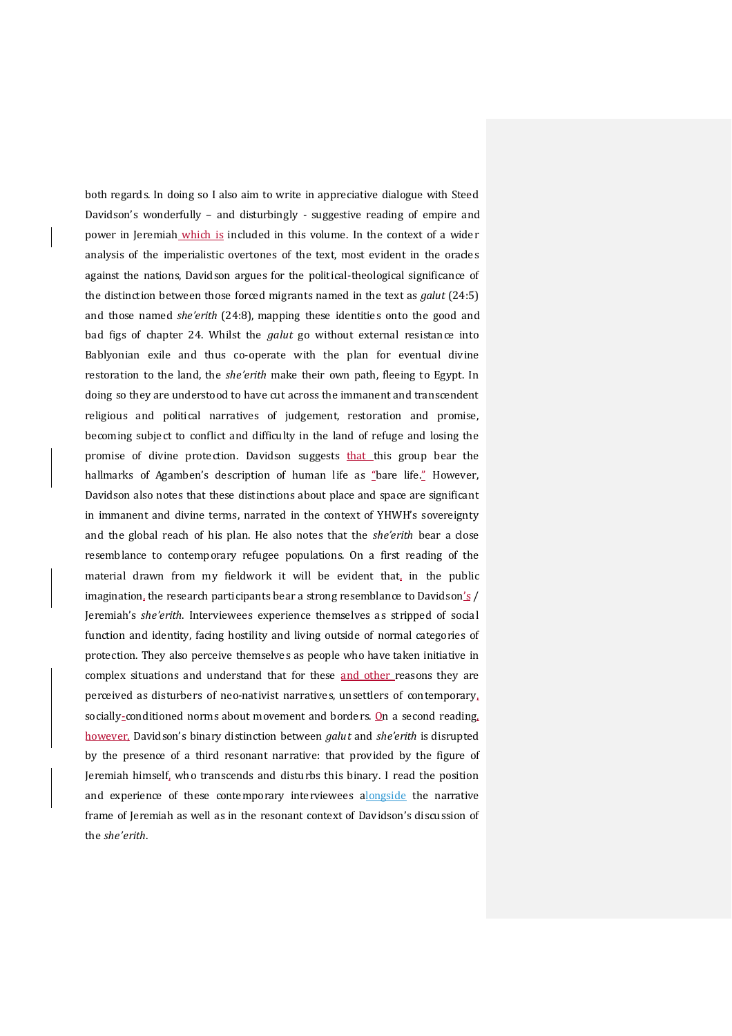both regards. In doing so I also aim to write in appreciative dialogue with Steed Davidson's wonderfully – and disturbingly - suggestive reading of empire and power in Jeremiah which is included in this volume. In the context of a wider analysis of the imperialistic overtones of the text, most evident in the oracles against the nations, Davidson argues for the political-theological significance of the distinction between those forced migrants named in the text as *galut* (24:5) and those named *she'erith* (24:8), mapping these identities onto the good and bad figs of chapter 24. Whilst the *galut* go without external resistance into Bablyonian exile and thus co-operate with the plan for eventual divine restoration to the land, the *she'erith* make their own path, fleeing to Egypt. In doing so they are understood to have cut across the immanent and transcendent religious and political narratives of judgement, restoration and promise, becoming subject to conflict and difficulty in the land of refuge and losing the promise of divine protection. Davidson suggests that this group bear the hallmarks of Agamben's description of human life as "bare life." However, Davidson also notes that these distinctions about place and space are significant in immanent and divine terms, narrated in the context of YHWH's sovereignty and the global reach of his plan. He also notes that the *she'erith* bear a close resemblance to contemporary refugee populations. On a first reading of the material drawn from my fieldwork it will be evident that, in the public imagination, the research participants bear a strong resemblance to Davidson's / Jeremiah's *she'erith*. Interviewees experience themselves as stripped of social function and identity, facing hostility and living outside of normal categories of protection. They also perceive themselves as people who have taken initiative in complex situations and understand that for these and other reasons they are perceived as disturbers of neo-nativist narratives, unsettlers of contemporary, socially-conditioned norms about movement and borders. On a second reading, however, Davidson's binary distinction between *galut* and *she'erith* is disrupted by the presence of a third resonant narrative: that provided by the figure of Jeremiah himself, who transcends and disturbs this binary. I read the position and experience of these contemporary interviewees alongside the narrative frame of Jeremiah as well as in the resonant context of Davidson's discussion of the *she'erith*.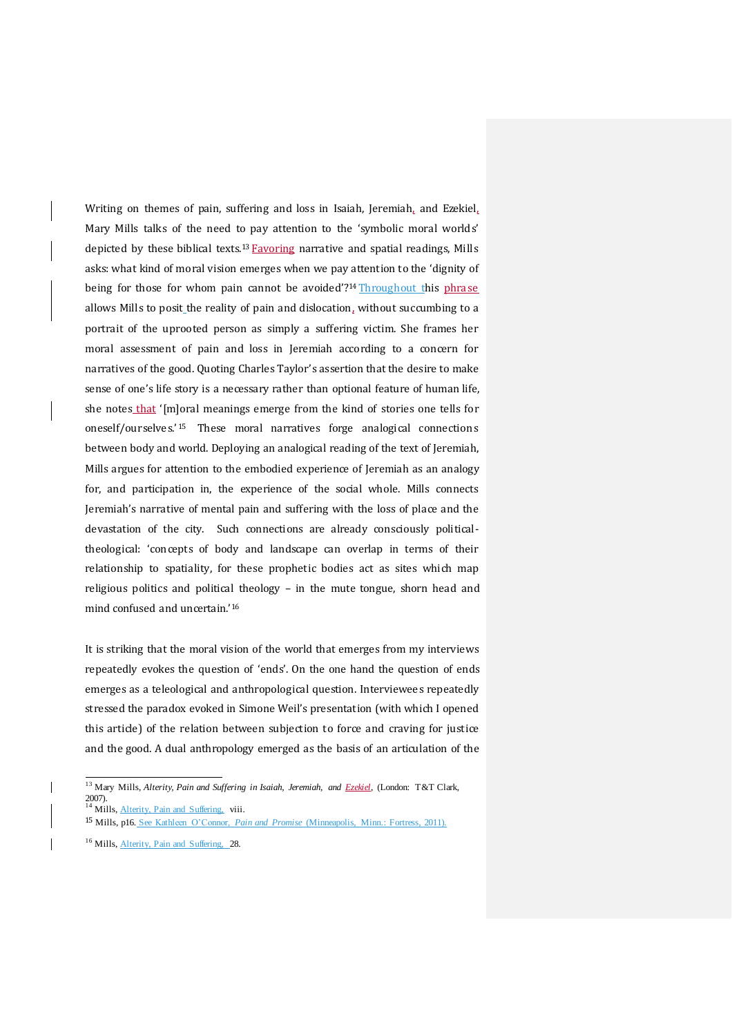Writing on themes of pain, suffering and loss in Isaiah, Jeremiah, and Ezekiel, Mary Mills talks of the need to pay attention to the 'symbolic moral worlds' depicted by these biblical texts.<sup>13</sup> Favoring narrative and spatial readings, Mills asks: what kind of moral vision emerges when we pay attention to the 'dignity of being for those for whom pain cannot be avoided'?<sup>14</sup> Throughout this phrase allows Mills to posit the reality of pain and dislocation, without succumbing to a portrait of the uprooted person as simply a suffering victim. She frames her moral assessment of pain and loss in Jeremiah according to a concern for narratives of the good. Quoting Charles Taylor's assertion that the desire to make sense of one's life story is a necessary rather than optional feature of human life, she notes that '[m]oral meanings emerge from the kind of stories one tells for oneself/ourselves.' <sup>15</sup> These moral narratives forge analogical connections between body and world. Deploying an analogical reading of the text of Jeremiah, Mills argues for attention to the embodied experience of Jeremiah as an analogy for, and participation in, the experience of the social whole. Mills connects Jeremiah's narrative of mental pain and suffering with the loss of place and the devastation of the city. Such connections are already consciously politicaltheological: 'concepts of body and landscape can overlap in terms of their relationship to spatiality, for these prophetic bodies act as sites which map religious politics and political theology – in the mute tongue, shorn head and mind confused and uncertain.'<sup>16</sup>

It is striking that the moral vision of the world that emerges from my interviews repeatedly evokes the question of 'ends'. On the one hand the question of ends emerges as a teleological and anthropological question. Interviewees repeatedly stressed the paradox evoked in Simone Weil's presentation (with which I opened this article) of the relation between subjection to force and craving for justice and the good. A dual anthropology emerged as the basis of an articulation of the

 $\overline{a}$ 

<sup>13</sup> Mary Mills, *Alterity, Pain and Suffering in Isaiah, Jeremiah, and Ezekiel*, (London: T&T Clark, 2007).<br><sup>14</sup> Mills, <u>Alterity, Pain and Suffering,</u> viii.

<sup>15</sup> Mills, p16. See Kathleen O'Connor, *Pain and Promise* (Minneapolis, Minn.: Fortress, 2011).

<sup>&</sup>lt;sup>16</sup> Mills, Alterity, Pain and Suffering, 28.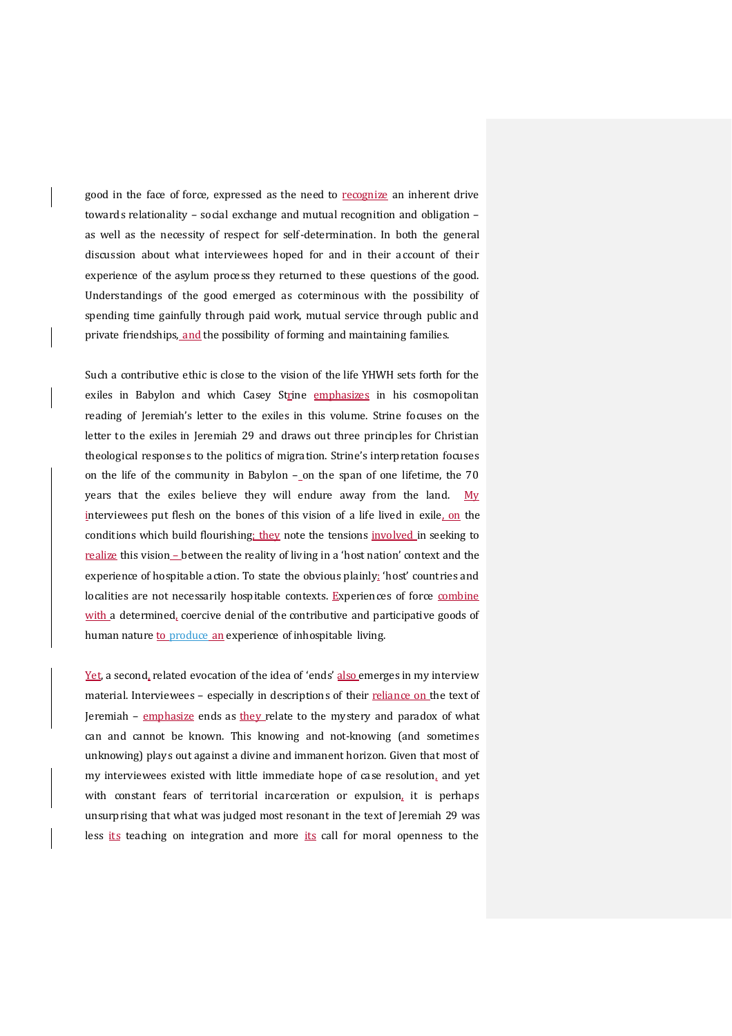good in the face of force, expressed as the need to recognize an inherent drive towards relationality – social exchange and mutual recognition and obligation – as well as the necessity of respect for self-determination. In both the general discussion about what interviewees hoped for and in their account of their experience of the asylum process they returned to these questions of the good. Understandings of the good emerged as coterminous with the possibility of spending time gainfully through paid work, mutual service through public and private friendships, and the possibility of forming and maintaining families.

Such a contributive ethic is close to the vision of the life YHWH sets forth for the exiles in Babylon and which Casey Strine emphasizes in his cosmopolitan reading of Jeremiah's letter to the exiles in this volume. Strine focuses on the letter to the exiles in Jeremiah 29 and draws out three principles for Christian theological responses to the politics of migration. Strine's interpretation focuses on the life of the community in Babylon – on the span of one lifetime, the 70 years that the exiles believe they will endure away from the land.  $My$ interviewees put flesh on the bones of this vision of a life lived in exile, on the conditions which build flourishing; they note the tensions involved in seeking to realize this vision - between the reality of living in a 'host nation' context and the experience of hospitable action. To state the obvious plainly: 'host' countries and localities are not necessarily hospitable contexts. Experiences of force combine with a determined, coercive denial of the contributive and participative goods of human nature to produce an experience of inhospitable living.

Yet, a second, related evocation of the idea of 'ends' also emerges in my interview material. Interviewees - especially in descriptions of their reliance on the text of Jeremiah – emphasize ends as they relate to the mystery and paradox of what can and cannot be known. This knowing and not-knowing (and sometimes unknowing) plays out against a divine and immanent horizon. Given that most of my interviewees existed with little immediate hope of case resolution, and yet with constant fears of territorial incarceration or expulsion, it is perhaps unsurprising that what was judged most resonant in the text of Jeremiah 29 was less its teaching on integration and more its call for moral openness to the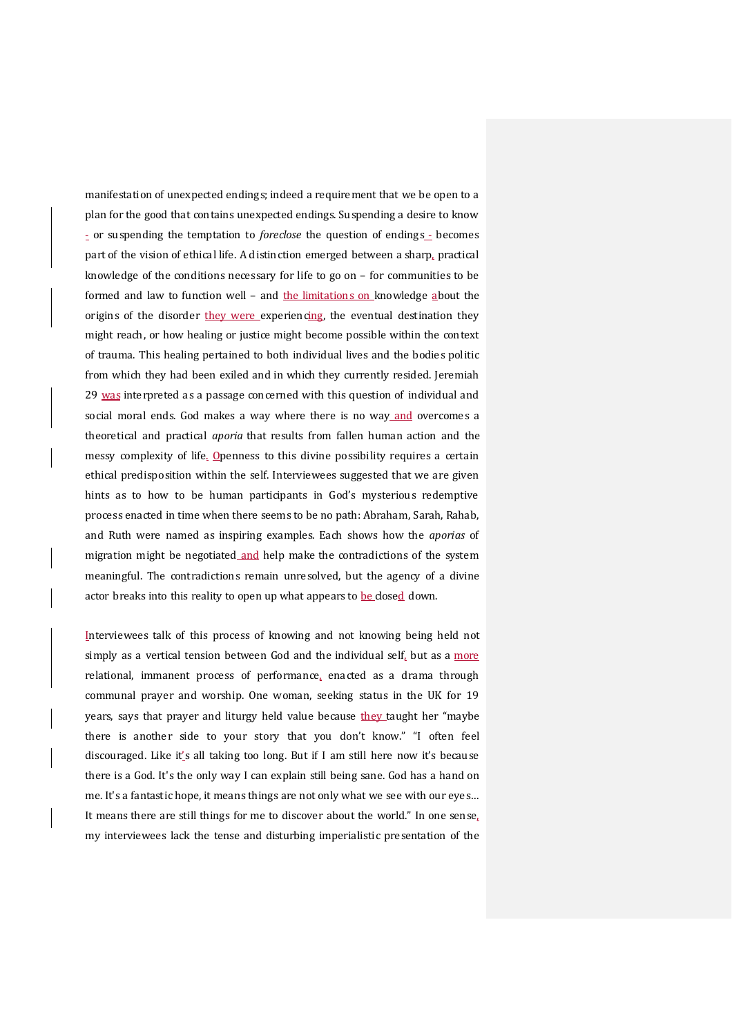manifestation of unexpected endings; indeed a requirement that we be open to a plan for the good that contains unexpected endings. Suspending a desire to know - or suspending the temptation to *foreclose* the question of endings- becomes part of the vision of ethical life. A distinction emerged between a sharp, practical knowledge of the conditions necessary for life to go on – for communities to be formed and law to function well - and the limitations on knowledge about the origins of the disorder they were experiencing, the eventual destination they might reach, or how healing or justice might become possible within the context of trauma. This healing pertained to both individual lives and the bodies politic from which they had been exiled and in which they currently resided. Jeremiah 29 was interpreted as a passage concerned with this question of individual and social moral ends. God makes a way where there is no way and overcomes a theoretical and practical *aporia* that results from fallen human action and the messy complexity of life. Openness to this divine possibility requires a certain ethical predisposition within the self. Interviewees suggested that we are given hints as to how to be human participants in God's mysterious redemptive process enacted in time when there seems to be no path: Abraham, Sarah, Rahab, and Ruth were named as inspiring examples. Each shows how the *aporias* of migration might be negotiated and help make the contradictions of the system meaningful. The contradictions remain unresolved, but the agency of a divine actor breaks into this reality to open up what appears to be closed down.

Interviewees talk of this process of knowing and not knowing being held not simply as a vertical tension between God and the individual self, but as a more relational, immanent process of performance, enacted as a drama through communal prayer and worship. One woman, seeking status in the UK for 19 years, says that prayer and liturgy held value because they taught her "maybe there is another side to your story that you don't know." "I often feel discouraged. Like it's all taking too long. But if I am still here now it's because there is a God. It's the only way I can explain still being sane. God has a hand on me. It's a fantastic hope, it means things are not only what we see with our eyes… It means there are still things for me to discover about the world." In one sense, my interviewees lack the tense and disturbing imperialistic presentation of the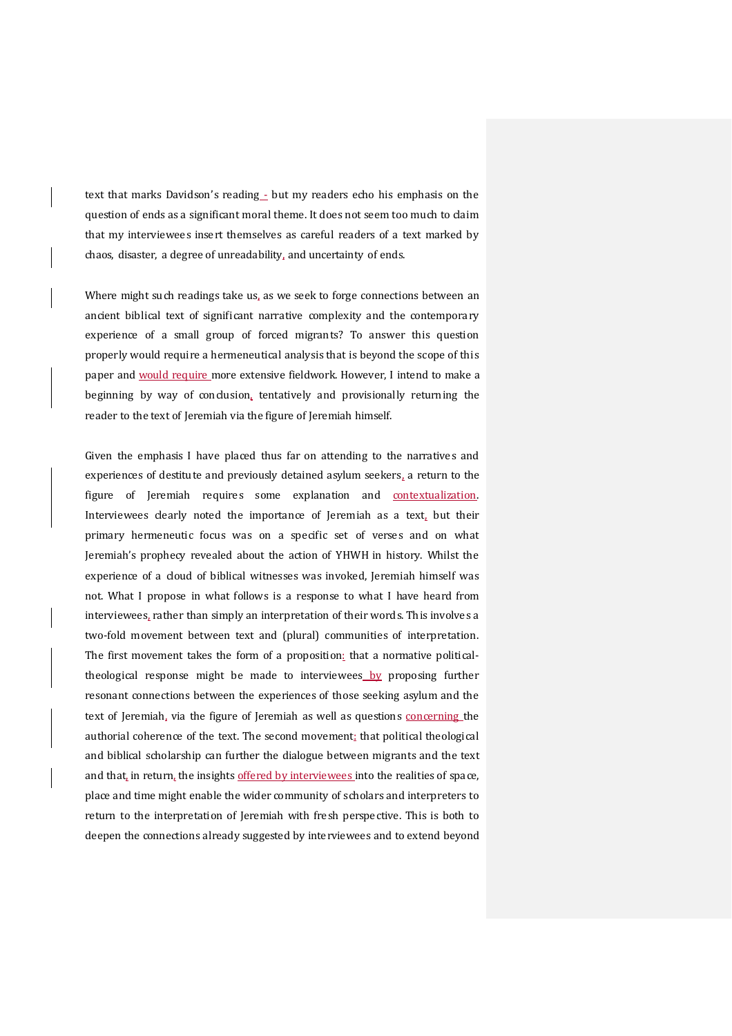text that marks Davidson's reading - but my readers echo his emphasis on the question of ends as a significant moral theme. It does not seem too much to claim that my interviewees insert themselves as careful readers of a text marked by chaos, disaster, a degree of unreadability, and uncertainty of ends.

Where might such readings take us, as we seek to forge connections between an ancient biblical text of significant narrative complexity and the contemporary experience of a small group of forced migrants? To answer this question properly would require a hermeneutical analysis that is beyond the scope of this paper and **would require** more extensive fieldwork. However, I intend to make a beginning by way of conclusion, tentatively and provisionally returning the reader to the text of Jeremiah via the figure of Jeremiah himself.

Given the emphasis I have placed thus far on attending to the narratives and experiences of destitute and previously detained asylum seekers, a return to the figure of Jeremiah requires some explanation and **contextualization**. Interviewees clearly noted the importance of Jeremiah as a text, but their primary hermeneutic focus was on a specific set of verses and on what Jeremiah's prophecy revealed about the action of YHWH in history. Whilst the experience of a cloud of biblical witnesses was invoked, Jeremiah himself was not. What I propose in what follows is a response to what I have heard from interviewees, rather than simply an interpretation of their words. This involves a two-fold movement between text and (plural) communities of interpretation. The first movement takes the form of a proposition: that a normative politicaltheological response might be made to interviewees by proposing further resonant connections between the experiences of those seeking asylum and the text of Jeremiah, via the figure of Jeremiah as well as questions concerning the authorial coherence of the text. The second movement: that political theological and biblical scholarship can further the dialogue between migrants and the text and that, in return, the insights offered by interviewees into the realities of space, place and time might enable the wider community of scholars and interpreters to return to the interpretation of Jeremiah with fresh perspective. This is both to deepen the connections already suggested by interviewees and to extend beyond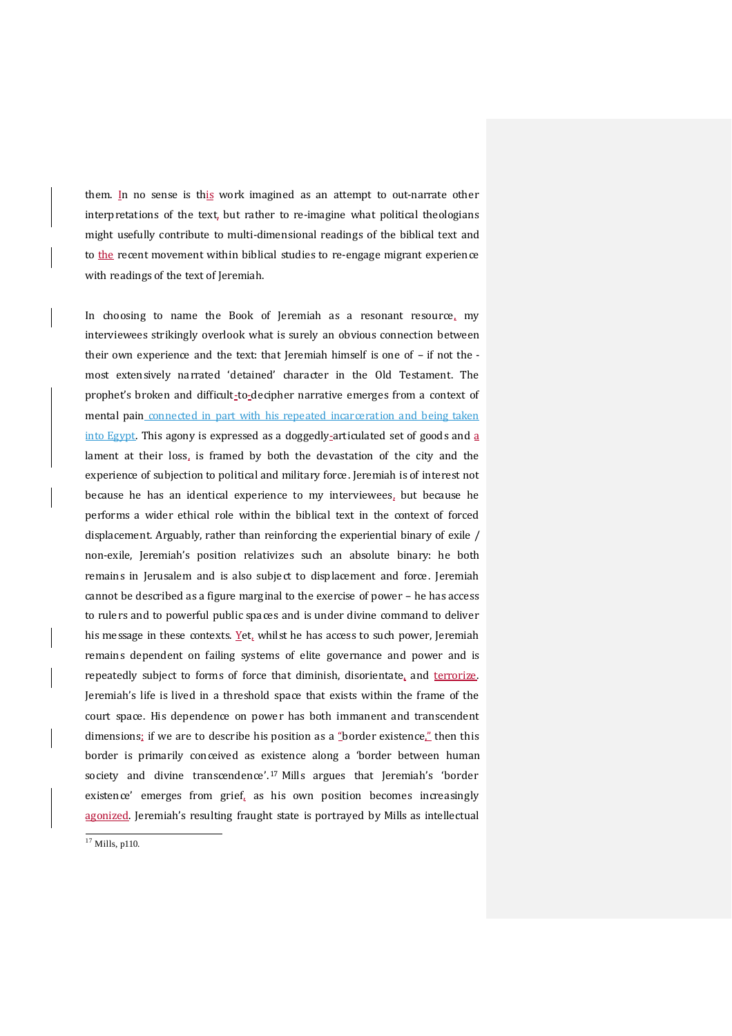them. In no sense is this work imagined as an attempt to out-narrate other interpretations of the text, but rather to re-imagine what political theologians might usefully contribute to multi-dimensional readings of the biblical text and to the recent movement within biblical studies to re-engage migrant experience with readings of the text of Jeremiah.

In choosing to name the Book of Jeremiah as a resonant resource, my interviewees strikingly overlook what is surely an obvious connection between their own experience and the text: that Jeremiah himself is one of – if not the most extensively narrated 'detained' character in the Old Testament. The prophet's broken and difficult-to-decipher narrative emerges from a context of mental pain connected in part with his repeated incarceration and being taken into Egypt. This agony is expressed as a doggedly-articulated set of goods and a lament at their loss, is framed by both the devastation of the city and the experience of subjection to political and military force. Jeremiah is of interest not because he has an identical experience to my interviewees, but because he performs a wider ethical role within the biblical text in the context of forced displacement. Arguably, rather than reinforcing the experiential binary of exile / non-exile, Jeremiah's position relativizes such an absolute binary: he both remains in Jerusalem and is also subject to displacement and force. Jeremiah cannot be described as a figure marginal to the exercise of power – he has access to rulers and to powerful public spaces and is under divine command to deliver his message in these contexts. Yet, whilst he has access to such power, Jeremiah remains dependent on failing systems of elite governance and power and is repeatedly subject to forms of force that diminish, disorientate, and terrorize. Jeremiah's life is lived in a threshold space that exists within the frame of the court space. His dependence on power has both immanent and transcendent dimensions; if we are to describe his position as a "border existence," then this border is primarily conceived as existence along a 'border between human society and divine transcendence'. <sup>17</sup> Mills argues that Jeremiah's 'border existence' emerges from grief, as his own position becomes increasingly agonized. Jeremiah's resulting fraught state is portrayed by Mills as intellectual

 $\overline{a}$ 

 $17$  Mills, p110.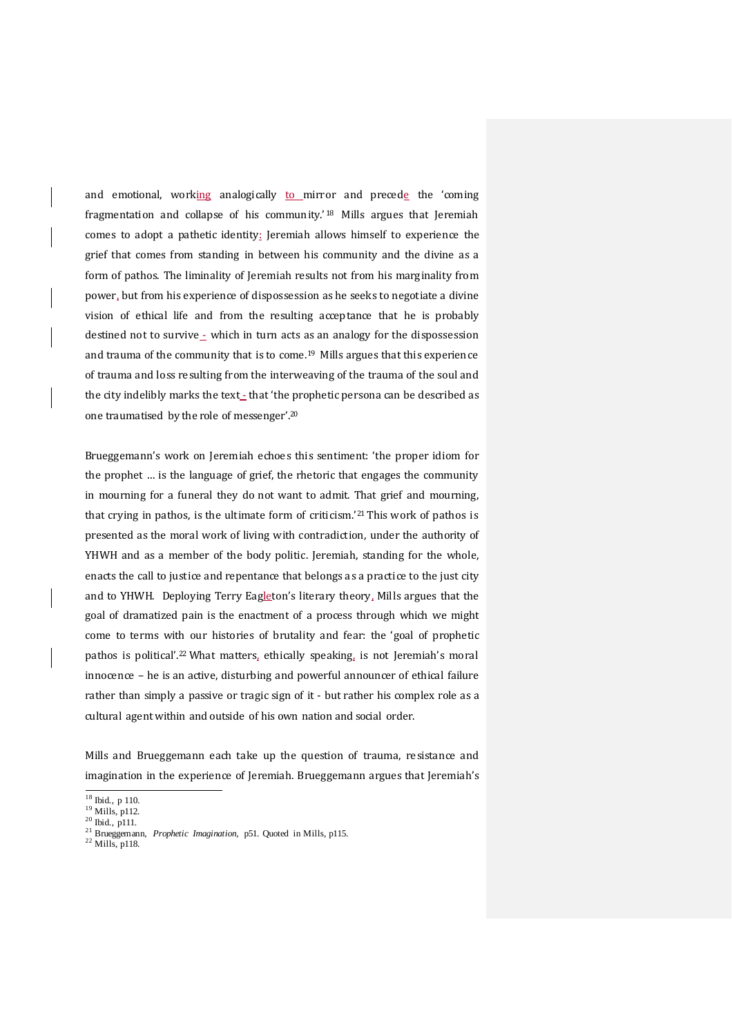and emotional, working analogically  $to$  mirror and precede the 'coming</u> fragmentation and collapse of his community.'<sup>18</sup> Mills argues that Jeremiah comes to adopt a pathetic identity: Jeremiah allows himself to experience the grief that comes from standing in between his community and the divine as a form of pathos. The liminality of Jeremiah results not from his marginality from power, but from his experience of dispossession as he seeks to negotiate a divine vision of ethical life and from the resulting acceptance that he is probably destined not to survive $\angle$  which in turn acts as an analogy for the dispossession and trauma of the community that is to come. <sup>19</sup> Mills argues that this experience of trauma and loss resulting from the interweaving of the trauma of the soul and the city indelibly marks the text-that 'the prophetic persona can be described as one traumatised by the role of messenger'. 20

Brueggemann's work on Jeremiah echoes this sentiment: 'the proper idiom for the prophet … is the language of grief, the rhetoric that engages the community in mourning for a funeral they do not want to admit. That grief and mourning, that crying in pathos, is the ultimate form of criticism.' <sup>21</sup> This work of pathos is presented as the moral work of living with contradiction, under the authority of YHWH and as a member of the body politic. Jeremiah, standing for the whole, enacts the call to justice and repentance that belongs as a practice to the just city and to YHWH. Deploying Terry Eagleton's literary theory, Mills argues that the goal of dramatized pain is the enactment of a process through which we might come to terms with our histories of brutality and fear: the 'goal of prophetic pathos is political'.<sup>22</sup> What matters, ethically speaking, is not Jeremiah's moral innocence – he is an active, disturbing and powerful announcer of ethical failure rather than simply a passive or tragic sign of it - but rather his complex role as a cultural agent within and outside of his own nation and social order.

Mills and Brueggemann each take up the question of trauma, resistance and imagination in the experience of Jeremiah. Brueggemann argues that Jeremiah's

 $\overline{a}$  $18$  Ibid., p 110.

<sup>19</sup> Mills, p112.

<sup>20</sup> Ibid., p111.

<sup>21</sup> Brueggemann, *Prophetic Imagination*, p51. Quoted in Mills, p115.  $22$  Mills, p118.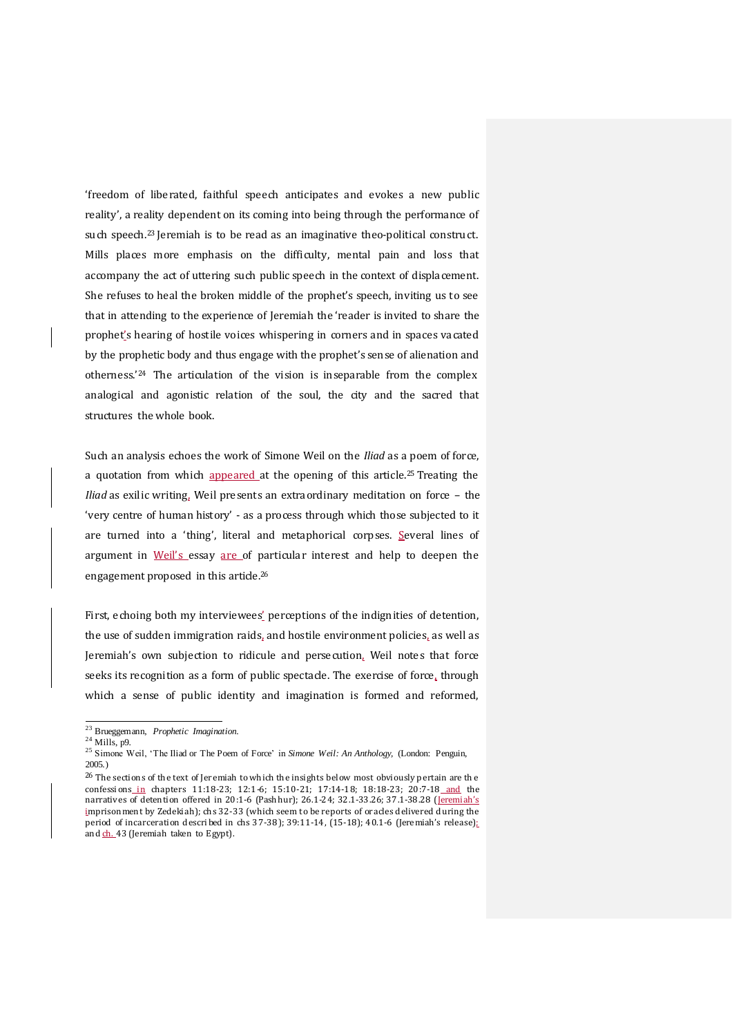'freedom of liberated, faithful speech anticipates and evokes a new public reality', a reality dependent on its coming into being through the performance of such speech.<sup>23</sup> Jeremiah is to be read as an imaginative theo-political construct. Mills places more emphasis on the difficulty, mental pain and loss that accompany the act of uttering such public speech in the context of displacement. She refuses to heal the broken middle of the prophet's speech, inviting us to see that in attending to the experience of Jeremiah the 'reader is invited to share the prophet's hearing of hostile voices whispering in corners and in spaces vacated by the prophetic body and thus engage with the prophet's sense of alienation and otherness.'<sup>24</sup> The articulation of the vision is inseparable from the complex analogical and agonistic relation of the soul, the city and the sacred that structures the whole book.

Such an analysis echoes the work of Simone Weil on the *Iliad* as a poem of force, a quotation from which appeared at the opening of this article.<sup>25</sup> Treating the *Iliad* as exilic writing, Weil presents an extraordinary meditation on force – the 'very centre of human history' - as a process through which those subjected to it are turned into a 'thing', literal and metaphorical corpses. Several lines of argument in Weil's essay are of particular interest and help to deepen the engagement proposed in this article.<sup>26</sup>

First, echoing both my interviewees' perceptions of the indignities of detention, the use of sudden immigration raids, and hostile environment policies, as well as Jeremiah's own subjection to ridicule and persecution, Weil notes that force seeks its recognition as a form of public spectacle. The exercise of force, through which a sense of public identity and imagination is formed and reformed,

 $\overline{\phantom{a}}$ 

<sup>23</sup> Brueggemann, *Prophetic Imagination*.

 $24$  Mills, p9.

<sup>25</sup> Simone Weil, 'The Iliad or The Poem of Force' in *Simone Weil: An Anthology,* (London: Penguin, 2005.)

 $26$  The sections of the text of Jeremiah to which the insights below most obviously pertain are the confessions in chapters 11:18-23; 12:1-6; 15:10-21; 17:14-18; 18:18-23; 20:7-18 and the narratives of detention offered in 20:1-6 (Pashhur); 26.1-24; 32.1-33.26; 37.1-38.28 (Jeremiah's imprison ment by Zedekiah); chs 32-33 (which seem to be reports of oracles delivered during the period of incarceration described in chs 37-38); 39:11-14, (15-18); 40.1-6 (Jeremiah's release); and ch. 43 (Jeremiah taken to Egypt).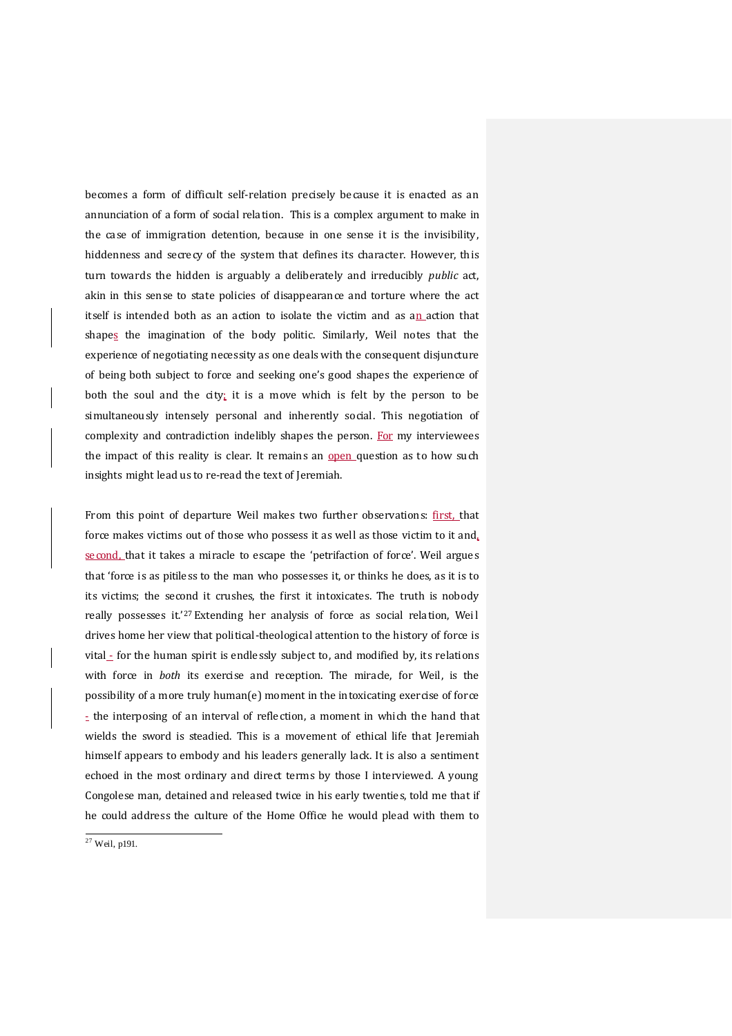becomes a form of difficult self-relation precisely because it is enacted as an annunciation of a form of social relation. This is a complex argument to make in the case of immigration detention, because in one sense it is the invisibility, hiddenness and secrecy of the system that defines its character. However, this turn towards the hidden is arguably a deliberately and irreducibly *public* act, akin in this sense to state policies of disappearance and torture where the act itself is intended both as an action to isolate the victim and as an action that shapes the imagination of the body politic. Similarly, Weil notes that the experience of negotiating necessity as one deals with the consequent disjuncture of being both subject to force and seeking one's good shapes the experience of both the soul and the city; it is a move which is felt by the person to be simultaneously intensely personal and inherently social. This negotiation of complexity and contradiction indelibly shapes the person. For my interviewees the impact of this reality is clear. It remains an **open** question as to how such insights might lead us to re-read the text of Jeremiah.

From this point of departure Weil makes two further observations: first, that force makes victims out of those who possess it as well as those victim to it and, second, that it takes a miracle to escape the 'petrifaction of force'. Weil argues that 'force is as pitiless to the man who possesses it, or thinks he does, as it is to its victims; the second it crushes, the first it intoxicates. The truth is nobody really possesses it.'<sup>27</sup> Extending her analysis of force as social relation, Weil drives home her view that political-theological attention to the history of force is vital  $_{-}$  for the human spirit is endlessly subject to, and modified by, its relations with force in *both* its exercise and reception. The miracle, for Weil, is the possibility of a more truly human(e) moment in the intoxicating exercise of force - the interposing of an interval of reflection, a moment in which the hand that wields the sword is steadied. This is a movement of ethical life that Jeremiah himself appears to embody and his leaders generally lack. It is also a sentiment echoed in the most ordinary and direct terms by those I interviewed. A young Congolese man, detained and released twice in his early twenties, told me that if he could address the culture of the Home Office he would plead with them to

 $\overline{a}$ 

 $27$  Weil, p191.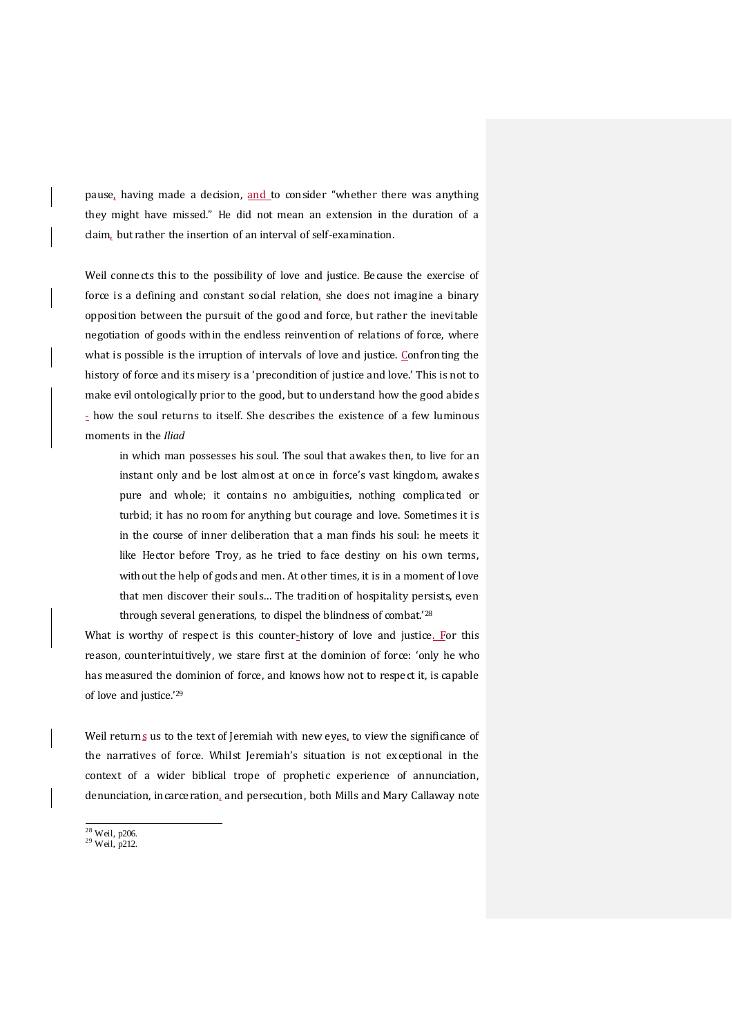pause, having made a decision, and to consider "whether there was anything they might have missed." He did not mean an extension in the duration of a claim, but rather the insertion of an interval of self-examination.

Weil connects this to the possibility of love and justice. Because the exercise of force is a defining and constant social relation, she does not imagine a binary opposition between the pursuit of the good and force, but rather the inevitable negotiation of goods within the endless reinvention of relations of force, where what is possible is the irruption of intervals of love and justice. Confronting the history of force and its misery is a 'precondition of justice and love.' This is not to make evil ontologically prior to the good, but to understand how the good abides - how the soul returns to itself. She describes the existence of a few luminous moments in the *Iliad*

in which man possesses his soul. The soul that awakes then, to live for an instant only and be lost almost at once in force's vast kingdom, awakes pure and whole; it contains no ambiguities, nothing complicated or turbid; it has no room for anything but courage and love. Sometimes it is in the course of inner deliberation that a man finds his soul: he meets it like Hector before Troy, as he tried to face destiny on his own terms, without the help of gods and men. At other times, it is in a moment of love that men discover their souls… The tradition of hospitality persists, even through several generations, to dispel the blindness of combat.'<sup>28</sup>

What is worthy of respect is this counter-history of love and justice. For this reason, counterintuitively, we stare first at the dominion of force: 'only he who has measured the dominion of force, and knows how not to respect it, is capable of love and justice.'<sup>29</sup>

Weil returns us to the text of Jeremiah with new eyes, to view the significance of the narratives of force. Whilst Jeremiah's situation is not exceptional in the context of a wider biblical trope of prophetic experience of annunciation, denunciation, incarceration, and persecution, both Mills and Mary Callaway note

l

 $28$  Weil, p206.

 $^{29}$  Weil, p212.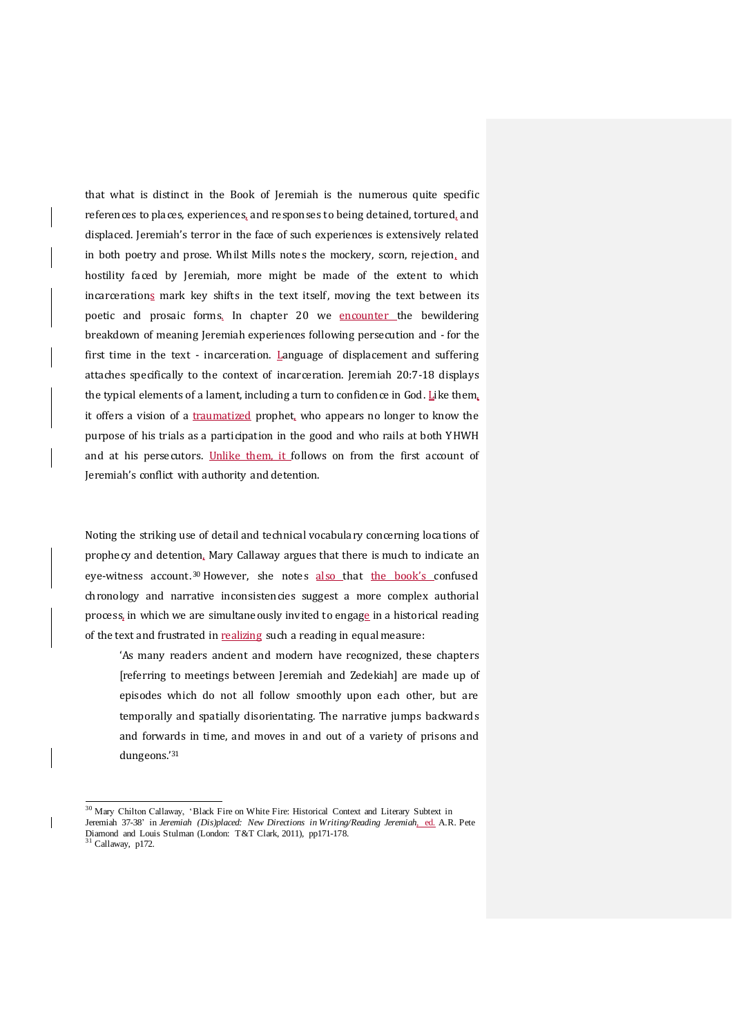that what is distinct in the Book of Jeremiah is the numerous quite specific references to places, experiences, and responses to being detained, tortured, and displaced. Jeremiah's terror in the face of such experiences is extensively related in both poetry and prose. Whilst Mills notes the mockery, scorn, rejection, and hostility faced by Jeremiah, more might be made of the extent to which incarcerations mark key shifts in the text itself, moving the text between its poetic and prosaic forms. In chapter 20 we encounter the bewildering breakdown of meaning Jeremiah experiences following persecution and - for the first time in the text - incarceration. Language of displacement and suffering attaches specifically to the context of incarceration. Jeremiah 20:7-18 displays the typical elements of a lament, including a turn to confidence in God. Like them, it offers a vision of a *traumatized* prophet, who appears no longer to know the purpose of his trials as a participation in the good and who rails at both YHWH and at his persecutors. Unlike them, it follows on from the first account of Jeremiah's conflict with authority and detention.

Noting the striking use of detail and technical vocabulary concerning locations of prophecy and detention, Mary Callaway argues that there is much to indicate an eye-witness account.<sup>30</sup> However, she notes also that the book's confused chronology and narrative inconsistencies suggest a more complex authorial process, in which we are simultaneously invited to engage in a historical reading of the text and frustrated in realizing such a reading in equal measure:

'As many readers ancient and modern have recognized, these chapters [referring to meetings between Jeremiah and Zedekiah] are made up of episodes which do not all follow smoothly upon each other, but are temporally and spatially disorientating. The narrative jumps backwards and forwards in time, and moves in and out of a variety of prisons and dungeons.'<sup>31</sup>

j <sup>30</sup> Mary Chilton Callaway, 'Black Fire on White Fire: Historical Context and Literary Subtext in Jeremiah 37-38' in *Jeremiah (Dis)placed: New Directions in Writing/Reading Jeremiah*, ed. A.R. Pete Diamond and Louis Stulman (London: T&T Clark, 2011), pp171-178. <sup>31</sup> Callaway, p172.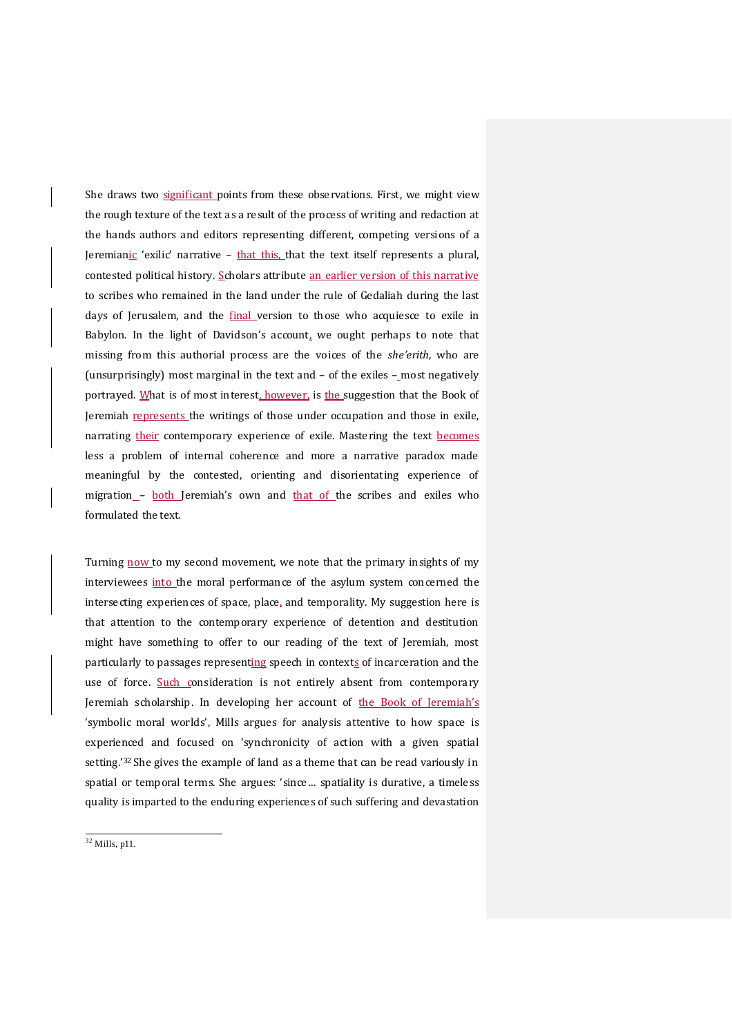She draws two significant points from these observations. First, we might view the rough texture of the text as a result of the process of writing and redaction at the hands authors and editors representing different, competing versions of a Jeremianic 'exilic' narrative  $-$  that this, that the text itself represents a plural, contested political history.  $S$ cholars attribute an earlier version of this narrative to scribes who remained in the land under the rule of Gedaliah during the last days of Jerusalem, and the final version to those who acquiesce to exile in Babylon. In the light of Davidson's account, we ought perhaps to note that missing from this authorial process are the voices of the *she'erith*, who are (unsurprisingly) most marginal in the text and – of the exiles – most negatively portrayed. What is of most interest, however, is the suggestion that the Book of Jeremiah represents the writings of those under occupation and those in exile, narrating their contemporary experience of exile. Mastering the text becomes less a problem of internal coherence and more a narrative paradox made meaningful by the contested, orienting and disorientating experience of migration - both Jeremiah's own and that of the scribes and exiles who formulated the text.

Turning now to my second movement, we note that the primary insights of my interviewees into the moral performance of the asylum system concerned the intersecting experiences of space, place, and temporality. My suggestion here is that attention to the contemporary experience of detention and destitution might have something to offer to our reading of the text of Jeremiah, most particularly to passages representing speech in contexts of incarceration and the use of force. Such consideration is not entirely absent from contemporary Jeremiah scholarship. In developing her account of the Book of Jeremiah's 'symbolic moral worlds', Mills argues for analysis attentive to how space is experienced and focused on 'synchronicity of action with a given spatial setting.'<sup>32</sup> She gives the example of land as a theme that can be read variously in spatial or temporal terms. She argues: 'since… spatiality is durative, a timeless quality is imparted to the enduring experiences of such suffering and devastation

 $\overline{a}$  $32$  Mills, p11.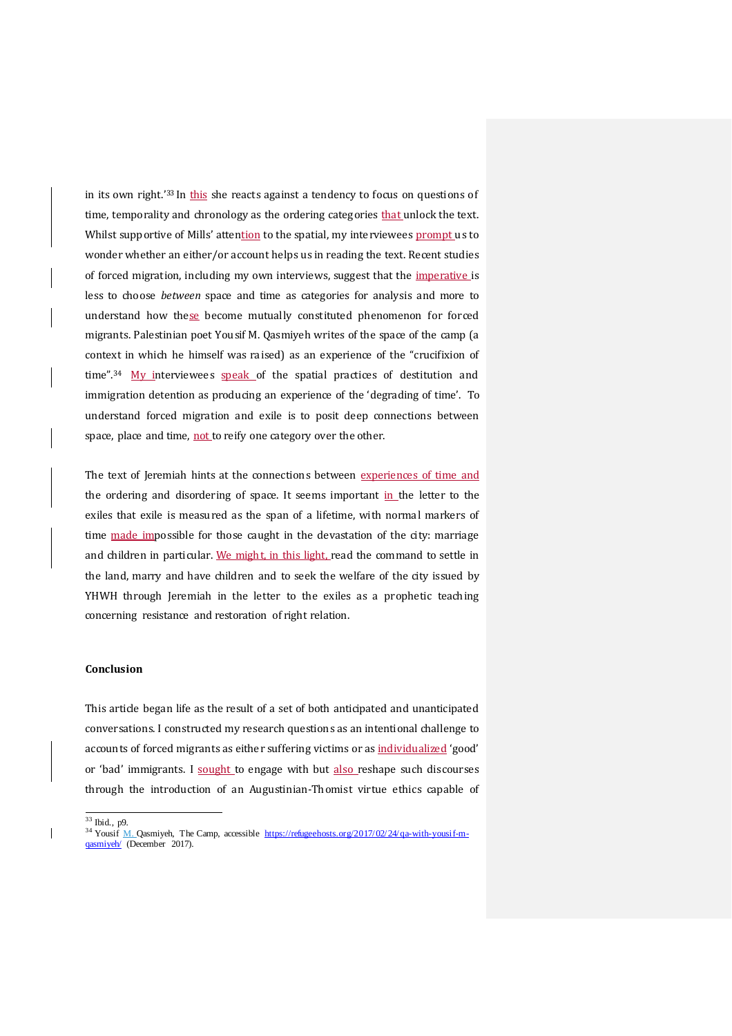in its own right.'33 In this she reacts against a tendency to focus on questions of time, temporality and chronology as the ordering categories that unlock the text. Whilst supportive of Mills' attention to the spatial, my interviewees prompt us to wonder whether an either/or account helps us in reading the text. Recent studies of forced migration, including my own interviews, suggest that the *imperative* is less to choose *between* space and time as categories for analysis and more to understand how these become mutually constituted phenomenon for forced migrants. Palestinian poet Yousif M. Qasmiyeh writes of the space of the camp (a context in which he himself was raised) as an experience of the "crucifixion of time".<sup>34</sup> <u>My i</u>nterviewees <u>speak of the spatial practices of destitution and</u> immigration detention as producing an experience of the 'degrading of time'. To understand forced migration and exile is to posit deep connections between space, place and time, not to reify one category over the other.

The text of Jeremiah hints at the connections between experiences of time and the ordering and disordering of space. It seems important  $\frac{in}{in}$  the letter to the exiles that exile is measured as the span of a lifetime, with normal markers of time made impossible for those caught in the devastation of the city: marriage and children in particular. We might, in this light, read the command to settle in the land, marry and have children and to seek the welfare of the city issued by YHWH through Jeremiah in the letter to the exiles as a prophetic teaching concerning resistance and restoration of right relation.

#### **Conclusion**

This article began life as the result of a set of both anticipated and unanticipated conversations. I constructed my research questions as an intentional challenge to accounts of forced migrants as either suffering victims or as individualized 'good' or 'bad' immigrants. I sought to engage with but also reshape such discourses through the introduction of an Augustinian-Thomist virtue ethics capable of

l <sup>33</sup> Ibid., p9.

<sup>&</sup>lt;sup>34</sup> Yousif <u>M.</u> Qasmiyeh, The Camp, accessible [https://refugeehosts.org/2017/02/24/qa-with-yousif-m](https://refugeehosts.org/2017/02/24/qa-with-yousif-m-qasmiyeh/)[qasmiyeh/](https://refugeehosts.org/2017/02/24/qa-with-yousif-m-qasmiyeh/) (December 2017).